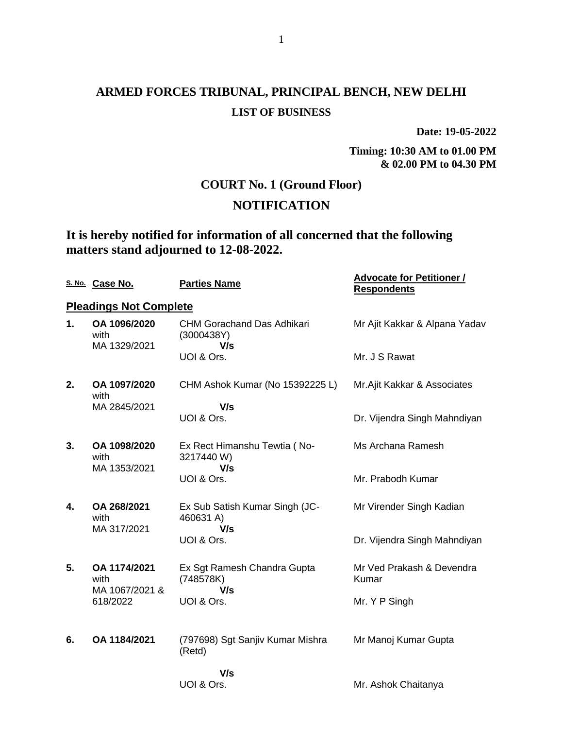**Date: 19-05-2022**

**Timing: 10:30 AM to 01.00 PM & 02.00 PM to 04.30 PM**

## **COURT No. 1 (Ground Floor)**

## **NOTIFICATION**

## **It is hereby notified for information of all concerned that the following matters stand adjourned to 12-08-2022.**

|    | S. No. Case No.                        | <b>Parties Name</b>                                    | <b>Advocate for Petitioner /</b><br><b>Respondents</b> |
|----|----------------------------------------|--------------------------------------------------------|--------------------------------------------------------|
|    | <b>Pleadings Not Complete</b>          |                                                        |                                                        |
| 1. | OA 1096/2020<br>with<br>MA 1329/2021   | <b>CHM Gorachand Das Adhikari</b><br>(3000438Y)<br>V/s | Mr Ajit Kakkar & Alpana Yadav                          |
|    |                                        | UOI & Ors.                                             | Mr. J S Rawat                                          |
| 2. | OA 1097/2020<br>with                   | CHM Ashok Kumar (No 15392225 L)                        | Mr. Ajit Kakkar & Associates                           |
|    | MA 2845/2021                           | V/s<br>UOI & Ors.                                      | Dr. Vijendra Singh Mahndiyan                           |
| 3. | OA 1098/2020<br>with                   | Ex Rect Himanshu Tewtia (No-<br>3217440W)              | Ms Archana Ramesh                                      |
|    | MA 1353/2021                           | V/s<br>UOI & Ors.                                      | Mr. Prabodh Kumar                                      |
| 4. | OA 268/2021<br>with<br>MA 317/2021     | Ex Sub Satish Kumar Singh (JC-<br>460631 A)<br>V/s     | Mr Virender Singh Kadian                               |
|    |                                        | UOI & Ors.                                             | Dr. Vijendra Singh Mahndiyan                           |
| 5. | OA 1174/2021<br>with<br>MA 1067/2021 & | Ex Sgt Ramesh Chandra Gupta<br>(748578K)<br>V/s        | Mr Ved Prakash & Devendra<br>Kumar                     |
|    | 618/2022                               | UOI & Ors.                                             | Mr. Y P Singh                                          |
| 6. | OA 1184/2021                           | (797698) Sgt Sanjiv Kumar Mishra<br>(Retd)             | Mr Manoj Kumar Gupta                                   |
|    |                                        | V/s<br>UOI & Ors.                                      | Mr. Ashok Chaitanya                                    |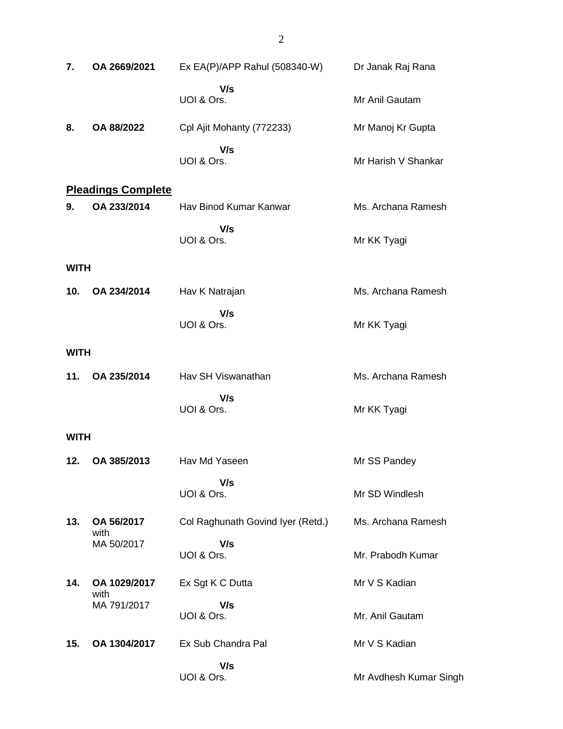| 7.          | OA 2669/2021              | Ex EA(P)/APP Rahul (508340-W)     | Dr Janak Raj Rana      |
|-------------|---------------------------|-----------------------------------|------------------------|
|             |                           | V/s<br>UOI & Ors.                 | Mr Anil Gautam         |
| 8.          | OA 88/2022                | Cpl Ajit Mohanty (772233)         | Mr Manoj Kr Gupta      |
|             |                           | V/s<br>UOI & Ors.                 | Mr Harish V Shankar    |
|             | <b>Pleadings Complete</b> |                                   |                        |
| 9.          | OA 233/2014               | Hav Binod Kumar Kanwar            | Ms. Archana Ramesh     |
|             |                           | V/s<br>UOI & Ors.                 | Mr KK Tyagi            |
| <b>WITH</b> |                           |                                   |                        |
| 10.         | OA 234/2014               | Hav K Natrajan                    | Ms. Archana Ramesh     |
|             |                           | V/s<br>UOI & Ors.                 | Mr KK Tyagi            |
| <b>WITH</b> |                           |                                   |                        |
| 11.         | OA 235/2014               | Hav SH Viswanathan                | Ms. Archana Ramesh     |
|             |                           | V/s<br>UOI & Ors.                 | Mr KK Tyagi            |
| <b>WITH</b> |                           |                                   |                        |
| 12.         | OA 385/2013               | Hav Md Yaseen                     | Mr SS Pandey           |
|             |                           | V/s<br>UOI & Ors.                 | Mr SD Windlesh         |
| 13.         | OA 56/2017                | Col Raghunath Govind Iyer (Retd.) | Ms. Archana Ramesh     |
|             | with<br>MA 50/2017        | V/s<br>UOI & Ors.                 | Mr. Prabodh Kumar      |
| 14.         | OA 1029/2017              | Ex Sgt K C Dutta                  | Mr V S Kadian          |
|             | with<br>MA 791/2017       | V/s<br>UOI & Ors.                 | Mr. Anil Gautam        |
| 15.         | OA 1304/2017              | Ex Sub Chandra Pal                | Mr V S Kadian          |
|             |                           | V/s<br>UOI & Ors.                 | Mr Avdhesh Kumar Singh |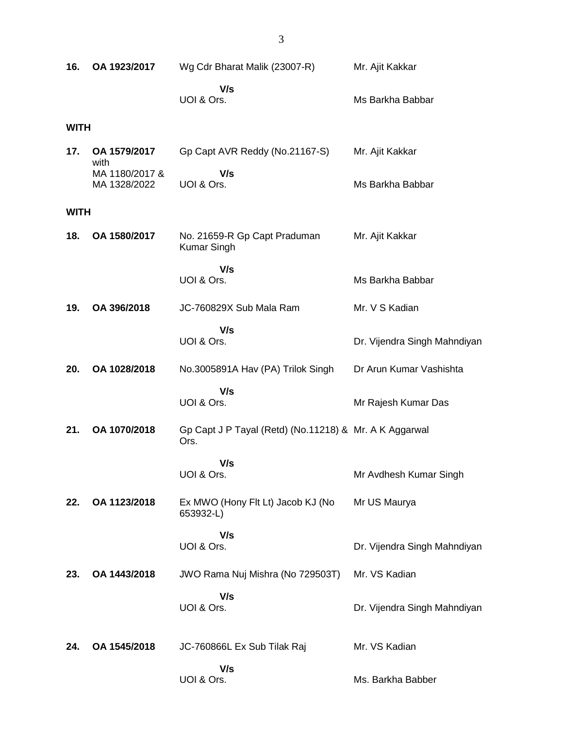| 16.         | OA 1923/2017                   | Wg Cdr Bharat Malik (23007-R)                                  | Mr. Ajit Kakkar              |
|-------------|--------------------------------|----------------------------------------------------------------|------------------------------|
|             |                                | V/s<br>UOI & Ors.                                              | Ms Barkha Babbar             |
| <b>WITH</b> |                                |                                                                |                              |
| 17.         | OA 1579/2017<br>with           | Gp Capt AVR Reddy (No.21167-S)                                 | Mr. Ajit Kakkar              |
|             | MA 1180/2017 &<br>MA 1328/2022 | V/s<br>UOI & Ors.                                              | Ms Barkha Babbar             |
| <b>WITH</b> |                                |                                                                |                              |
| 18.         | OA 1580/2017                   | No. 21659-R Gp Capt Praduman<br><b>Kumar Singh</b>             | Mr. Ajit Kakkar              |
|             |                                | V/s<br>UOI & Ors.                                              | Ms Barkha Babbar             |
| 19.         | OA 396/2018                    | JC-760829X Sub Mala Ram                                        | Mr. V S Kadian               |
|             |                                | V/s<br>UOI & Ors.                                              | Dr. Vijendra Singh Mahndiyan |
| 20.         | OA 1028/2018                   | No.3005891A Hav (PA) Trilok Singh                              | Dr Arun Kumar Vashishta      |
|             |                                | V/s<br>UOI & Ors.                                              | Mr Rajesh Kumar Das          |
| 21.         | OA 1070/2018                   | Gp Capt J P Tayal (Retd) (No.11218) & Mr. A K Aggarwal<br>Ors. |                              |
|             |                                | V/s<br>UOI & Ors.                                              | Mr Avdhesh Kumar Singh       |
| 22.         | OA 1123/2018                   | Ex MWO (Hony Flt Lt) Jacob KJ (No<br>653932-L)                 | Mr US Maurya                 |
|             |                                | V/s<br>UOI & Ors.                                              | Dr. Vijendra Singh Mahndiyan |
| 23.         | OA 1443/2018                   | JWO Rama Nuj Mishra (No 729503T)                               | Mr. VS Kadian                |
|             |                                | V/s<br>UOI & Ors.                                              | Dr. Vijendra Singh Mahndiyan |
| 24.         | OA 1545/2018                   | JC-760866L Ex Sub Tilak Raj                                    | Mr. VS Kadian                |
|             |                                | V/s<br>UOI & Ors.                                              | Ms. Barkha Babber            |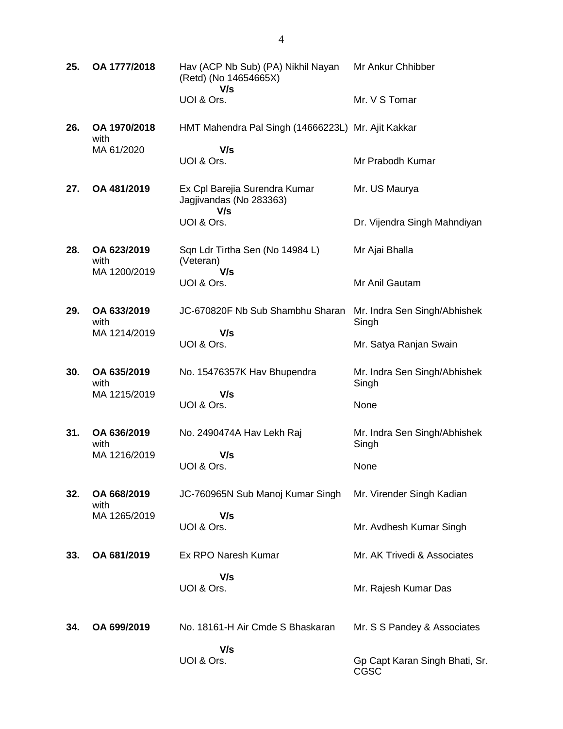| 25. | OA 1777/2018                        | Hav (ACP Nb Sub) (PA) Nikhil Nayan<br>(Retd) (No 14654665X)<br>V/s | Mr Ankur Chhibber                      |
|-----|-------------------------------------|--------------------------------------------------------------------|----------------------------------------|
|     |                                     | UOI & Ors.                                                         | Mr. V S Tomar                          |
| 26. | OA 1970/2018<br>with                | HMT Mahendra Pal Singh (14666223L) Mr. Ajit Kakkar                 |                                        |
|     | MA 61/2020                          | V/s<br>UOI & Ors.                                                  | Mr Prabodh Kumar                       |
| 27. | OA 481/2019                         | Ex Cpl Barejia Surendra Kumar<br>Jagjivandas (No 283363)<br>V/s    | Mr. US Maurya                          |
|     |                                     | UOI & Ors.                                                         | Dr. Vijendra Singh Mahndiyan           |
| 28. | OA 623/2019<br>with<br>MA 1200/2019 | Sqn Ldr Tirtha Sen (No 14984 L)<br>(Veteran)<br>V/s                | Mr Ajai Bhalla                         |
|     |                                     | UOI & Ors.                                                         | Mr Anil Gautam                         |
| 29. | OA 633/2019<br>with                 | JC-670820F Nb Sub Shambhu Sharan                                   | Mr. Indra Sen Singh/Abhishek<br>Singh  |
|     | MA 1214/2019                        | V/s<br>UOI & Ors.                                                  | Mr. Satya Ranjan Swain                 |
| 30. | OA 635/2019<br>with                 | No. 15476357K Hav Bhupendra                                        | Mr. Indra Sen Singh/Abhishek<br>Singh  |
|     | MA 1215/2019                        | V/s<br>UOI & Ors.                                                  | None                                   |
| 31. | OA 636/2019<br>with                 | No. 2490474A Hav Lekh Raj                                          | Mr. Indra Sen Singh/Abhishek<br>Singh  |
|     | MA 1216/2019                        | V/s<br>UOI & Ors.                                                  | None                                   |
| 32. | OA 668/2019<br>with                 | JC-760965N Sub Manoj Kumar Singh                                   | Mr. Virender Singh Kadian              |
|     | MA 1265/2019                        | V/s<br>UOI & Ors.                                                  | Mr. Avdhesh Kumar Singh                |
| 33. | OA 681/2019                         | Ex RPO Naresh Kumar                                                | Mr. AK Trivedi & Associates            |
|     |                                     | V/s<br>UOI & Ors.                                                  | Mr. Rajesh Kumar Das                   |
| 34. | OA 699/2019                         | No. 18161-H Air Cmde S Bhaskaran                                   | Mr. S S Pandey & Associates            |
|     |                                     | V/s<br>UOI & Ors.                                                  | Gp Capt Karan Singh Bhati, Sr.<br>CGSC |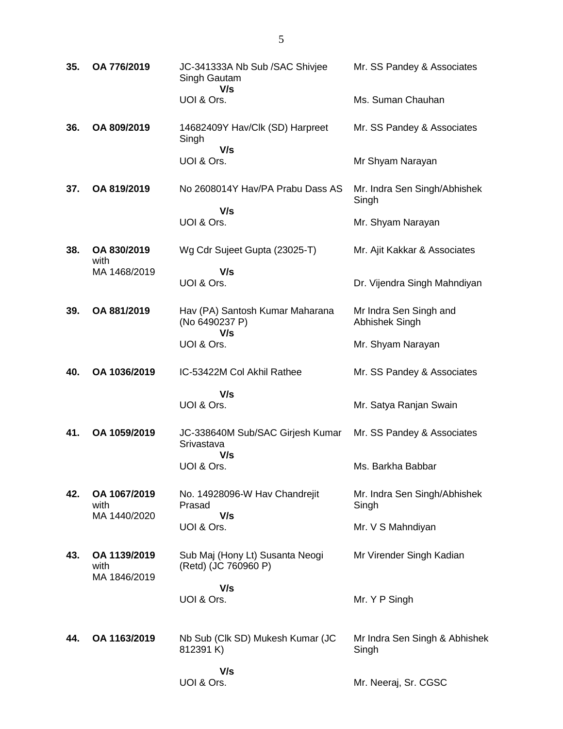| 35. | OA 776/2019                          | JC-341333A Nb Sub / SAC Shivjee<br>Singh Gautam<br>V/s   | Mr. SS Pandey & Associates               |
|-----|--------------------------------------|----------------------------------------------------------|------------------------------------------|
|     |                                      | UOI & Ors.                                               | Ms. Suman Chauhan                        |
| 36. | OA 809/2019                          | 14682409Y Hav/Clk (SD) Harpreet<br>Singh                 | Mr. SS Pandey & Associates               |
|     |                                      | V/s<br>UOI & Ors.                                        | Mr Shyam Narayan                         |
| 37. | OA 819/2019                          | No 2608014Y Hav/PA Prabu Dass AS                         | Mr. Indra Sen Singh/Abhishek<br>Singh    |
|     |                                      | V/s<br>UOI & Ors.                                        | Mr. Shyam Narayan                        |
| 38. | OA 830/2019<br>with                  | Wg Cdr Sujeet Gupta (23025-T)                            | Mr. Ajit Kakkar & Associates             |
|     | MA 1468/2019                         | V/s<br>UOI & Ors.                                        | Dr. Vijendra Singh Mahndiyan             |
| 39. | OA 881/2019                          | Hav (PA) Santosh Kumar Maharana<br>(No 6490237 P)<br>V/s | Mr Indra Sen Singh and<br>Abhishek Singh |
|     |                                      | UOI & Ors.                                               | Mr. Shyam Narayan                        |
| 40. | OA 1036/2019                         | IC-53422M Col Akhil Rathee                               | Mr. SS Pandey & Associates               |
|     |                                      | V/s<br>UOI & Ors.                                        | Mr. Satya Ranjan Swain                   |
| 41. | OA 1059/2019                         | JC-338640M Sub/SAC Girjesh Kumar<br>Srivastava<br>V/s    | Mr. SS Pandey & Associates               |
|     |                                      | UOI & Ors                                                | Ms. Barkha Babbar                        |
| 42. | OA 1067/2019<br>with<br>MA 1440/2020 | No. 14928096-W Hav Chandrejit<br>Prasad<br>V/s           | Mr. Indra Sen Singh/Abhishek<br>Singh    |
|     |                                      | UOI & Ors.                                               | Mr. V S Mahndiyan                        |
| 43. | OA 1139/2019<br>with<br>MA 1846/2019 | Sub Maj (Hony Lt) Susanta Neogi<br>(Retd) (JC 760960 P)  | Mr Virender Singh Kadian                 |
|     |                                      | V/s<br>UOI & Ors.                                        | Mr. Y P Singh                            |
| 44. | OA 1163/2019                         | Nb Sub (Clk SD) Mukesh Kumar (JC<br>812391 K)            | Mr Indra Sen Singh & Abhishek<br>Singh   |
|     |                                      | V/s<br>UOI & Ors.                                        | Mr. Neeraj, Sr. CGSC                     |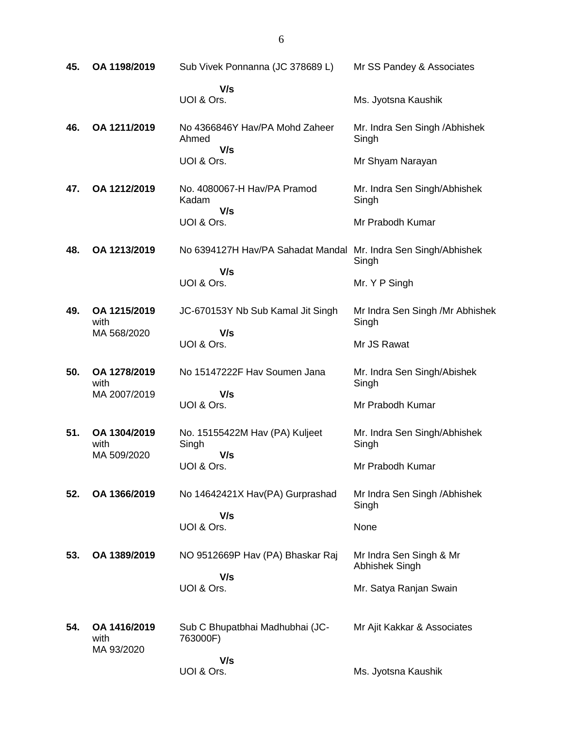| 45. | OA 1198/2019                       | Sub Vivek Ponnanna (JC 378689 L)               | Mr SS Pandey & Associates                 |
|-----|------------------------------------|------------------------------------------------|-------------------------------------------|
|     |                                    | V/s<br>UOI & Ors.                              | Ms. Jyotsna Kaushik                       |
| 46. | OA 1211/2019                       | No 4366846Y Hav/PA Mohd Zaheer<br>Ahmed<br>V/s | Mr. Indra Sen Singh / Abhishek<br>Singh   |
|     |                                    | UOI & Ors.                                     | Mr Shyam Narayan                          |
| 47. | OA 1212/2019                       | No. 4080067-H Hav/PA Pramod<br>Kadam<br>V/s    | Mr. Indra Sen Singh/Abhishek<br>Singh     |
|     |                                    | UOI & Ors.                                     | Mr Prabodh Kumar                          |
| 48. | OA 1213/2019                       | No 6394127H Hav/PA Sahadat Mandal              | Mr. Indra Sen Singh/Abhishek<br>Singh     |
|     |                                    | V/s<br>UOI & Ors.                              | Mr. Y P Singh                             |
| 49. | OA 1215/2019<br>with               | JC-670153Y Nb Sub Kamal Jit Singh              | Mr Indra Sen Singh /Mr Abhishek<br>Singh  |
|     | MA 568/2020                        | V/s<br>UOI & Ors.                              | Mr JS Rawat                               |
| 50. | OA 1278/2019<br>with               | No 15147222F Hav Soumen Jana                   | Mr. Indra Sen Singh/Abishek<br>Singh      |
|     | MA 2007/2019                       | V/s<br>UOI & Ors.                              | Mr Prabodh Kumar                          |
| 51. | OA 1304/2019<br>with               | No. 15155422M Hav (PA) Kuljeet<br>Singh        | Mr. Indra Sen Singh/Abhishek<br>Singh     |
|     | MA 509/2020                        | V/s<br>UOI & Ors.                              | Mr Prabodh Kumar                          |
| 52. | OA 1366/2019                       | No 14642421X Hav(PA) Gurprashad                | Mr Indra Sen Singh / Abhishek<br>Singh    |
|     |                                    | V/s<br>UOI & Ors.                              | None                                      |
| 53. | OA 1389/2019                       | NO 9512669P Hav (PA) Bhaskar Raj               | Mr Indra Sen Singh & Mr<br>Abhishek Singh |
|     |                                    | V/s<br>UOI & Ors.                              | Mr. Satya Ranjan Swain                    |
| 54. | OA 1416/2019<br>with<br>MA 93/2020 | Sub C Bhupatbhai Madhubhai (JC-<br>763000F)    | Mr Ajit Kakkar & Associates               |
|     |                                    | V/s<br>UOI & Ors.                              | Ms. Jyotsna Kaushik                       |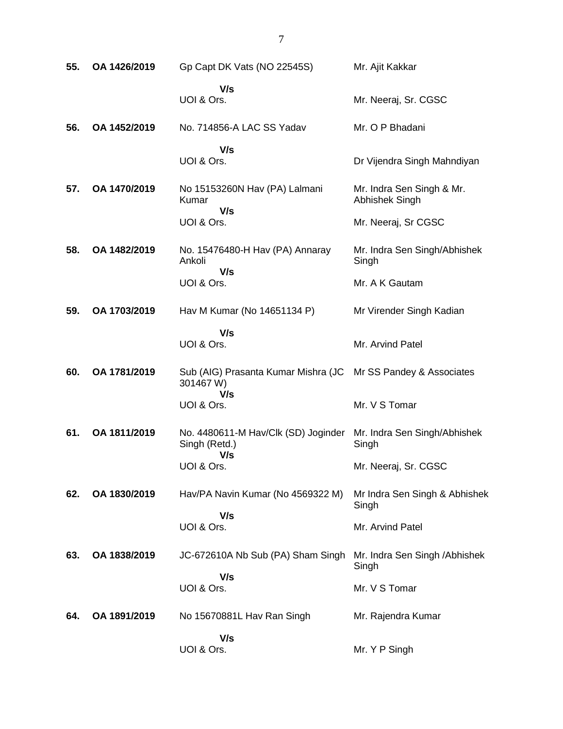| 55. | OA 1426/2019 | Gp Capt DK Vats (NO 22545S)                          | Mr. Ajit Kakkar                             |
|-----|--------------|------------------------------------------------------|---------------------------------------------|
|     |              | V/s<br>UOI & Ors.                                    | Mr. Neeraj, Sr. CGSC                        |
| 56. | OA 1452/2019 | No. 714856-A LAC SS Yadav                            | Mr. O P Bhadani                             |
|     |              | V/s<br>UOI & Ors.                                    | Dr Vijendra Singh Mahndiyan                 |
| 57. | OA 1470/2019 | No 15153260N Hav (PA) Lalmani<br>Kumar<br>V/s        | Mr. Indra Sen Singh & Mr.<br>Abhishek Singh |
|     |              | UOI & Ors.                                           | Mr. Neeraj, Sr CGSC                         |
| 58. | OA 1482/2019 | No. 15476480-H Hav (PA) Annaray<br>Ankoli            | Mr. Indra Sen Singh/Abhishek<br>Singh       |
|     |              | V/s<br>UOI & Ors.                                    | Mr. A K Gautam                              |
| 59. | OA 1703/2019 | Hav M Kumar (No 14651134 P)                          | Mr Virender Singh Kadian                    |
|     |              | V/s<br>UOI & Ors.                                    | Mr. Arvind Patel                            |
| 60. | OA 1781/2019 | Sub (AIG) Prasanta Kumar Mishra (JC<br>301467 W)     | Mr SS Pandey & Associates                   |
|     |              | V/s<br>UOI & Ors.                                    | Mr. V S Tomar                               |
| 61. | OA 1811/2019 | No. 4480611-M Hav/Clk (SD) Joginder<br>Singh (Retd.) | Mr. Indra Sen Singh/Abhishek<br>Singh       |
|     |              | V/s<br>UOI & Ors.                                    | Mr. Neeraj, Sr. CGSC                        |
| 62. | OA 1830/2019 | Hav/PA Navin Kumar (No 4569322 M)                    | Mr Indra Sen Singh & Abhishek<br>Singh      |
|     |              | V/s<br>UOI & Ors.                                    | Mr. Arvind Patel                            |
| 63. | OA 1838/2019 | JC-672610A Nb Sub (PA) Sham Singh                    | Mr. Indra Sen Singh / Abhishek<br>Singh     |
|     |              | V/s<br>UOI & Ors.                                    | Mr. V S Tomar                               |
| 64. | OA 1891/2019 | No 15670881L Hav Ran Singh                           | Mr. Rajendra Kumar                          |
|     |              | V/s<br>UOI & Ors.                                    | Mr. Y P Singh                               |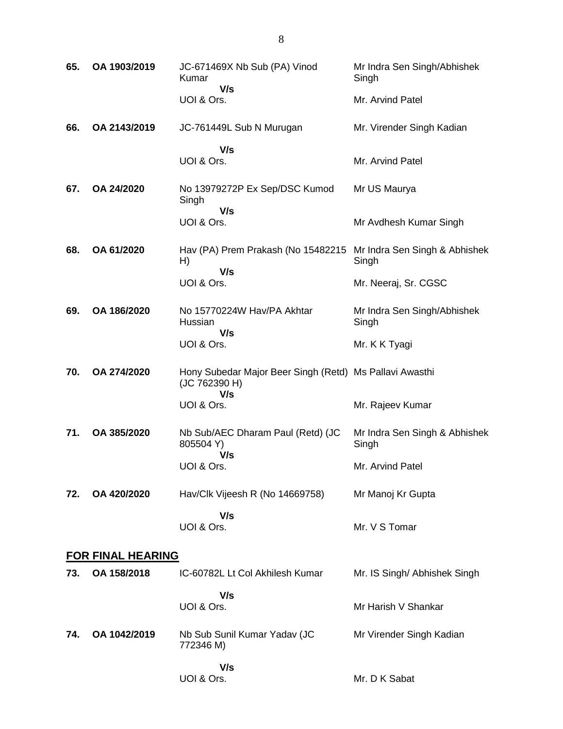| 65. | OA 1903/2019             | JC-671469X Nb Sub (PA) Vinod<br>Kumar<br>V/s                                    | Mr Indra Sen Singh/Abhishek<br>Singh   |  |  |
|-----|--------------------------|---------------------------------------------------------------------------------|----------------------------------------|--|--|
|     |                          | UOI & Ors.                                                                      | Mr. Arvind Patel                       |  |  |
| 66. | OA 2143/2019             | JC-761449L Sub N Murugan                                                        | Mr. Virender Singh Kadian              |  |  |
|     |                          | V/s<br>UOI & Ors.                                                               | Mr. Arvind Patel                       |  |  |
| 67. | OA 24/2020               | No 13979272P Ex Sep/DSC Kumod<br>Singh<br>V/s                                   | Mr US Maurya                           |  |  |
|     |                          | UOI & Ors.                                                                      | Mr Avdhesh Kumar Singh                 |  |  |
| 68. | OA 61/2020               | Hav (PA) Prem Prakash (No 15482215 Mr Indra Sen Singh & Abhishek<br>H)<br>V/s   | Singh                                  |  |  |
|     |                          | UOI & Ors.                                                                      | Mr. Neeraj, Sr. CGSC                   |  |  |
| 69. | OA 186/2020              | No 15770224W Hav/PA Akhtar<br>Hussian<br>V/s                                    | Mr Indra Sen Singh/Abhishek<br>Singh   |  |  |
|     |                          | UOI & Ors.                                                                      | Mr. K K Tyagi                          |  |  |
| 70. | OA 274/2020              | Hony Subedar Major Beer Singh (Retd) Ms Pallavi Awasthi<br>(JC 762390 H)<br>V/s |                                        |  |  |
|     |                          | UOI & Ors.                                                                      | Mr. Rajeev Kumar                       |  |  |
| 71. | OA 385/2020              | Nb Sub/AEC Dharam Paul (Retd) (JC<br>805504 Y)<br>V/s                           | Mr Indra Sen Singh & Abhishek<br>Singh |  |  |
|     |                          | UOI & Ors.                                                                      | Mr. Arvind Patel                       |  |  |
| 72. | OA 420/2020              | Hav/Clk Vijeesh R (No 14669758)                                                 | Mr Manoj Kr Gupta                      |  |  |
|     |                          | V/s<br>UOI & Ors.                                                               | Mr. V S Tomar                          |  |  |
|     | <b>FOR FINAL HEARING</b> |                                                                                 |                                        |  |  |
| 73. | OA 158/2018              | IC-60782L Lt Col Akhilesh Kumar                                                 | Mr. IS Singh/ Abhishek Singh           |  |  |
|     |                          | V/s<br>UOI & Ors.                                                               | Mr Harish V Shankar                    |  |  |
| 74. | OA 1042/2019             | Nb Sub Sunil Kumar Yadav (JC<br>772346 M)                                       | Mr Virender Singh Kadian               |  |  |
|     |                          | V/s<br>UOI & Ors.                                                               | Mr. D K Sabat                          |  |  |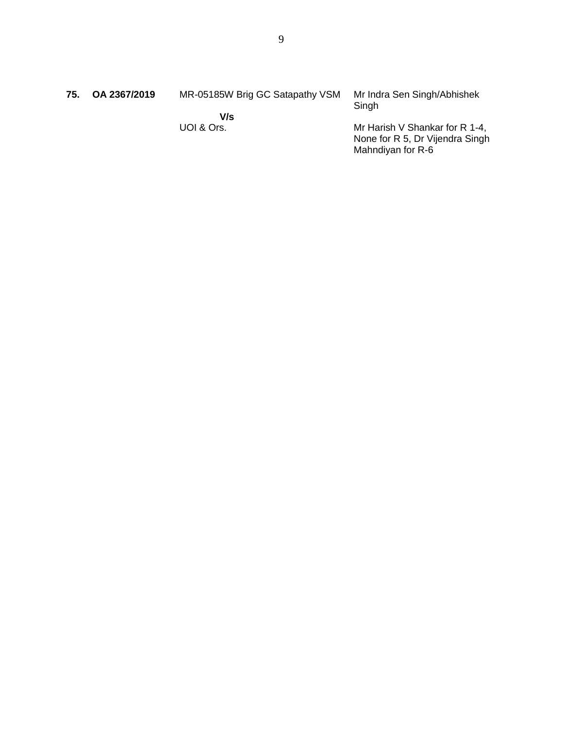| 75. | OA 2367/2019 | MR-05185W Brig GC Satapathy VSM | Mr Indra Sen Singh/Abhishek<br>Singh |
|-----|--------------|---------------------------------|--------------------------------------|
|     |              | V/s                             |                                      |
|     |              | UOI & Ors.                      | Mr Harish V Shankar for R 1-4,       |
|     |              |                                 | None for R 5, Dr Vijendra Singh      |
|     |              |                                 | Mahndiyan for R-6                    |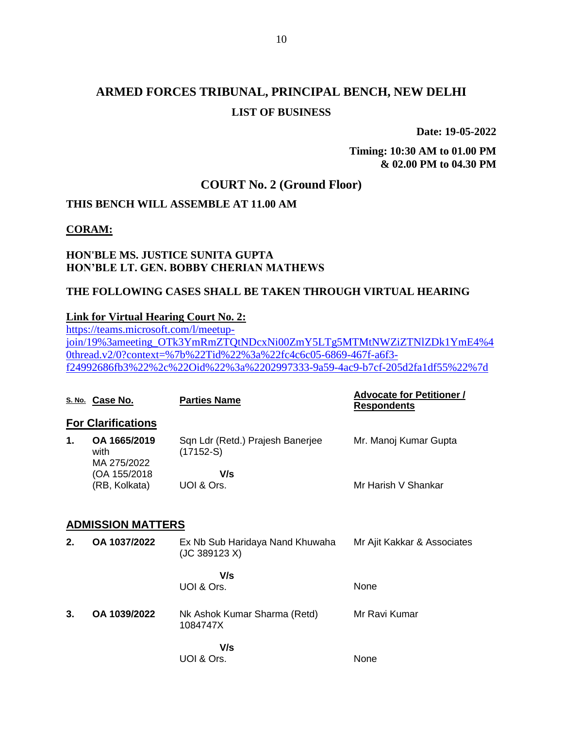**Date: 19-05-2022**

**Timing: 10:30 AM to 01.00 PM & 02.00 PM to 04.30 PM**

## **COURT No. 2 (Ground Floor)**

## **THIS BENCH WILL ASSEMBLE AT 11.00 AM**

#### **CORAM:**

#### **HON'BLE MS. JUSTICE SUNITA GUPTA HON'BLE LT. GEN. BOBBY CHERIAN MATHEWS**

#### **THE FOLLOWING CASES SHALL BE TAKEN THROUGH VIRTUAL HEARING**

#### **Link for Virtual Hearing Court No. 2:**

[https://teams.microsoft.com/l/meetup](https://teams.microsoft.com/l/meetup-join/19%3ameeting_OTk3YmRmZTQtNDcxNi00ZmY5LTg5MTMtNWZiZTNlZDk1YmE4%40thread.v2/0?context=%7b%22Tid%22%3a%22fc4c6c05-6869-467f-a6f3-f24992686fb3%22%2c%22Oid%22%3a%2202997333-9a59-4ac9-b7cf-205d2fa1df55%22%7d)[join/19%3ameeting\\_OTk3YmRmZTQtNDcxNi00ZmY5LTg5MTMtNWZiZTNlZDk1YmE4%4](https://teams.microsoft.com/l/meetup-join/19%3ameeting_OTk3YmRmZTQtNDcxNi00ZmY5LTg5MTMtNWZiZTNlZDk1YmE4%40thread.v2/0?context=%7b%22Tid%22%3a%22fc4c6c05-6869-467f-a6f3-f24992686fb3%22%2c%22Oid%22%3a%2202997333-9a59-4ac9-b7cf-205d2fa1df55%22%7d) [0thread.v2/0?context=%7b%22Tid%22%3a%22fc4c6c05-6869-467f-a6f3](https://teams.microsoft.com/l/meetup-join/19%3ameeting_OTk3YmRmZTQtNDcxNi00ZmY5LTg5MTMtNWZiZTNlZDk1YmE4%40thread.v2/0?context=%7b%22Tid%22%3a%22fc4c6c05-6869-467f-a6f3-f24992686fb3%22%2c%22Oid%22%3a%2202997333-9a59-4ac9-b7cf-205d2fa1df55%22%7d) [f24992686fb3%22%2c%22Oid%22%3a%2202997333-9a59-4ac9-b7cf-205d2fa1df55%22%7d](https://teams.microsoft.com/l/meetup-join/19%3ameeting_OTk3YmRmZTQtNDcxNi00ZmY5LTg5MTMtNWZiZTNlZDk1YmE4%40thread.v2/0?context=%7b%22Tid%22%3a%22fc4c6c05-6869-467f-a6f3-f24992686fb3%22%2c%22Oid%22%3a%2202997333-9a59-4ac9-b7cf-205d2fa1df55%22%7d)

|    | S. No. Case No.                     | <b>Parties Name</b>                              | <b>Advocate for Petitioner /</b><br><b>Respondents</b> |
|----|-------------------------------------|--------------------------------------------------|--------------------------------------------------------|
|    | <b>For Clarifications</b>           |                                                  |                                                        |
| 1. | OA 1665/2019<br>with<br>MA 275/2022 | Sqn Ldr (Retd.) Prajesh Banerjee<br>$(17152-S)$  | Mr. Manoj Kumar Gupta                                  |
|    | (OA 155/2018<br>(RB, Kolkata)       | V/s<br>UOI & Ors.                                | Mr Harish V Shankar                                    |
|    | <b>ADMISSION MATTERS</b>            |                                                  |                                                        |
| 2. | OA 1037/2022                        | Ex Nb Sub Haridaya Nand Khuwaha<br>(JC 389123 X) | Mr Ajit Kakkar & Associates                            |
|    |                                     | V/s<br>UOI & Ors.                                | None                                                   |
|    |                                     |                                                  |                                                        |
| 3. | OA 1039/2022                        | Nk Ashok Kumar Sharma (Retd)<br>1084747X         | Mr Ravi Kumar                                          |
|    |                                     | V/s<br>UOI & Ors.                                | None                                                   |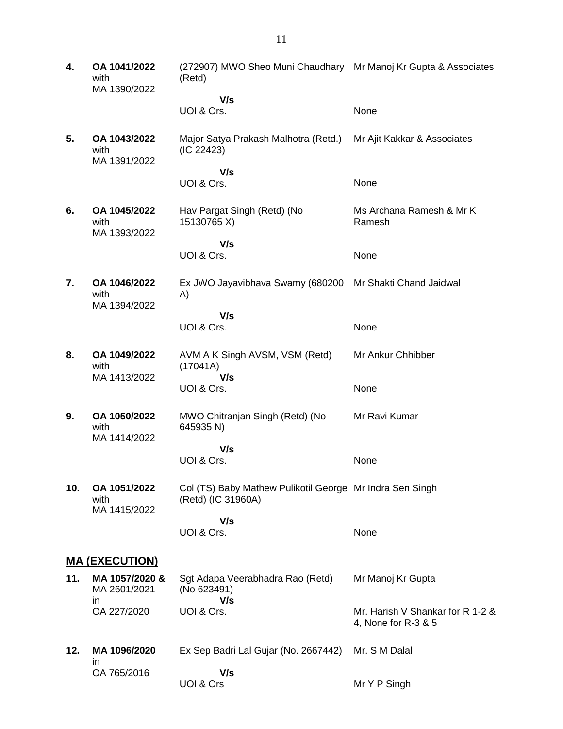**4. OA 1041/2022** with MA 1390/2022 (272907) MWO Sheo Muni Chaudhary Mr Manoj Kr Gupta & Associates (Retd)  **V/s** UOI & Ors. None **5. OA 1043/2022** with MA 1391/2022 Major Satya Prakash Malhotra (Retd.) (IC 22423)  **V/s** UOI & Ors. Mr Ajit Kakkar & Associates None **6. OA 1045/2022** with MA 1393/2022 Hav Pargat Singh (Retd) (No 15130765 X)  **V/s** UOI & Ors. Ms Archana Ramesh & Mr K Ramesh None **7. OA 1046/2022** with MA 1394/2022 Ex JWO Jayavibhava Swamy (680200 A)  **V/s** UOI & Ors. Mr Shakti Chand Jaidwal None **8. OA 1049/2022** with MA 1413/2022 AVM A K Singh AVSM, VSM (Retd) (17041A)  **V/s** UOI & Ors. Mr Ankur Chhibber None **9. OA 1050/2022** with MA 1414/2022 MWO Chitranjan Singh (Retd) (No 645935 N)  **V/s** UOI & Ors. Mr Ravi Kumar None **10. OA 1051/2022** with MA 1415/2022 Col (TS) Baby Mathew Pulikotil George Mr Indra Sen Singh (Retd) (IC 31960A)  **V/s** UOI & Ors. None **MA (EXECUTION) 11. MA 1057/2020 &** MA 2601/2021 in OA 227/2020 Sgt Adapa Veerabhadra Rao (Retd) (No 623491)  **V/s** UOI & Ors. Mr Manoj Kr Gupta Mr. Harish V Shankar for R 1-2 & 4, None for R-3 & 5 **12. MA 1096/2020** in OA 765/2016 Ex Sep Badri Lal Gujar (No. 2667442)  **V/s** UOI & Ors Mr. S M Dalal Mr Y P Singh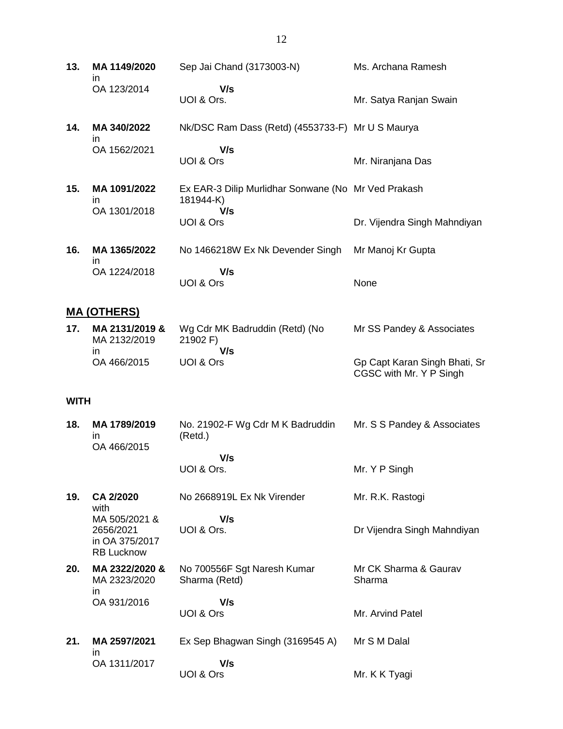- **13. MA 1149/2020** in OA 123/2014 Sep Jai Chand (3173003-N)  **V/s** UOI & Ors. Ms. Archana Ramesh Mr. Satya Ranjan Swain
- **14. MA 340/2022** in OA 1562/2021 Nk/DSC Ram Dass (Retd) (4553733-F) Mr U S Maurya  **V/s** UOI & Ors Mr. Niranjana Das
- **15. MA 1091/2022** in OA 1301/2018 Ex EAR-3 Dilip Murlidhar Sonwane (No Mr Ved Prakash 181944-K)  **V/s** UOI & Ors Dr. Vijendra Singh Mahndiyan **16. MA 1365/2022** No 1466218W Ex Nk Devender Singh Mr Manoj Kr Gupta
	- in OA 1224/2018  **V/s** UOI & Ors None

#### **MA (OTHERS)**

| 17. | MA 2131/2019 &<br>MA 2132/2019 | Wg Cdr MK Badruddin (Retd) (No<br>21902 F | Mr SS Pandey & Associates                                |
|-----|--------------------------------|-------------------------------------------|----------------------------------------------------------|
|     | ın                             | V/s                                       |                                                          |
|     | OA 466/2015                    | UOI & Ors                                 | Gp Capt Karan Singh Bhati, Sr<br>CGSC with Mr. Y P Singh |

#### **WITH**

**18. MA 1789/2019** in OA 466/2015 No. 21902-F Wg Cdr M K Badruddin (Retd.)  **V/s** UOI & Ors. Mr. S S Pandey & Associates Mr. Y P Singh **19. CA 2/2020** with MA 505/2021 & 2656/2021 in OA 375/2017 RB Lucknow No 2668919L Ex Nk Virender  **V/s** UOI & Ors. Mr. R.K. Rastogi Dr Vijendra Singh Mahndiyan **20. MA 2322/2020 &** MA 2323/2020 in OA 931/2016 No 700556F Sgt Naresh Kumar Sharma (Retd)  **V/s** UOI & Ors Mr CK Sharma & Gaurav Sharma Mr. Arvind Patel **21. MA 2597/2021** in OA 1311/2017 Ex Sep Bhagwan Singh (3169545 A)  **V/s** Mr S M Dalal

UOI & Ors

Mr. K K Tyagi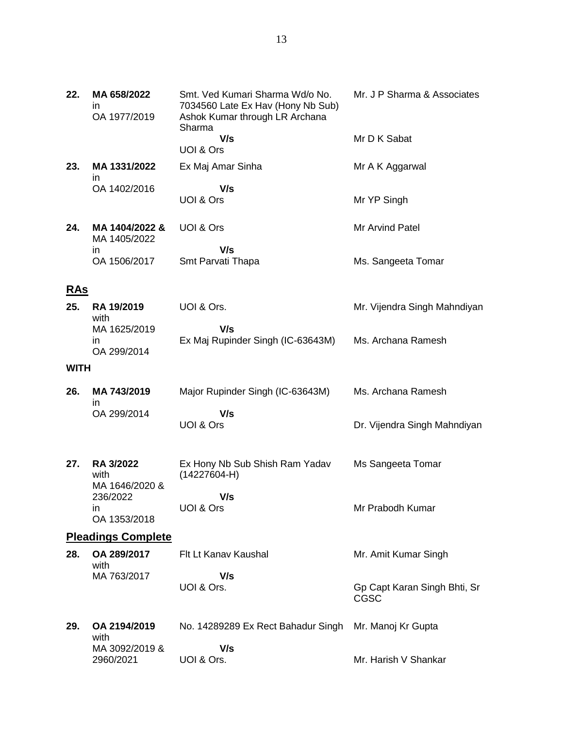| 22.         | MA 658/2022<br>in<br>OA 1977/2019 | Smt. Ved Kumari Sharma Wd/o No.<br>7034560 Late Ex Hav (Hony Nb Sub)<br>Ashok Kumar through LR Archana<br>Sharma | Mr. J P Sharma & Associates  |
|-------------|-----------------------------------|------------------------------------------------------------------------------------------------------------------|------------------------------|
|             |                                   | V/s                                                                                                              | Mr D K Sabat                 |
|             |                                   | UOI & Ors                                                                                                        |                              |
| 23.         | MA 1331/2022<br>in                | Ex Maj Amar Sinha                                                                                                | Mr A K Aggarwal              |
|             | OA 1402/2016                      | V/s                                                                                                              |                              |
|             |                                   | UOI & Ors                                                                                                        | Mr YP Singh                  |
| 24.         | MA 1404/2022 &<br>MA 1405/2022    | UOI & Ors                                                                                                        | Mr Arvind Patel              |
|             | ın                                | V/s                                                                                                              |                              |
|             | OA 1506/2017                      | Smt Parvati Thapa                                                                                                | Ms. Sangeeta Tomar           |
| <u>RAs</u>  |                                   |                                                                                                                  |                              |
| 25.         | <b>RA 19/2019</b><br>with         | UOI & Ors.                                                                                                       | Mr. Vijendra Singh Mahndiyan |
|             | MA 1625/2019                      | V/s                                                                                                              |                              |
|             | in<br>OA 299/2014                 | Ex Maj Rupinder Singh (IC-63643M)                                                                                | Ms. Archana Ramesh           |
| <b>WITH</b> |                                   |                                                                                                                  |                              |
| 26.         | MA 743/2019                       | Major Rupinder Singh (IC-63643M)                                                                                 | Ms. Archana Ramesh           |
|             | in<br>OA 299/2014                 | V/s                                                                                                              |                              |
|             |                                   | UOI & Ors                                                                                                        | Dr. Vijendra Singh Mahndiyan |
| 27.         | RA 3/2022                         | Ex Hony Nb Sub Shish Ram Yadav                                                                                   | Ms Sangeeta Tomar            |
|             | with                              | $(14227604-H)$                                                                                                   |                              |
|             | MA 1646/2020 &<br>236/2022        | V/s                                                                                                              |                              |
|             | in.                               | UOI & Ors                                                                                                        | Mr Prabodh Kumar             |
|             | OA 1353/2018                      |                                                                                                                  |                              |
|             | <b>Pleadings Complete</b>         |                                                                                                                  |                              |
| 28.         | OA 289/2017                       | Flt Lt Kanav Kaushal                                                                                             | Mr. Amit Kumar Singh         |

Gp Capt Karan Singh Bhti, Sr

Mr. Harish V Shankar

CGSC

No. 14289289 Ex Rect Bahadur Singh Mr. Manoj Kr Gupta

 **V/s**

 **V/s**

UOI & Ors.

UOI & Ors.

with

MA 763/2017

**29. OA 2194/2019** with

MA 3092/2019 & 2960/2021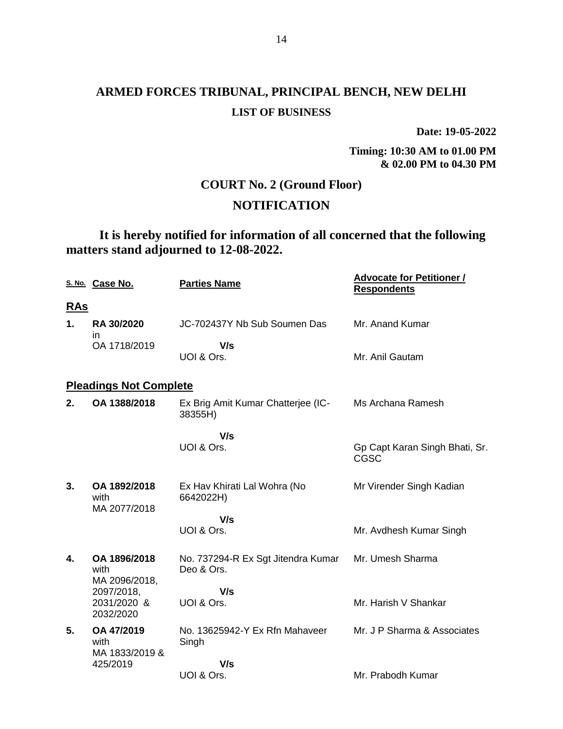**Date: 19-05-2022**

**Timing: 10:30 AM to 01.00 PM & 02.00 PM to 04.30 PM**

## **COURT No. 2 (Ground Floor)**

## **NOTIFICATION**

**It is hereby notified for information of all concerned that the following matters stand adjourned to 12-08-2022.**

|            | S. No. Case No.                       | <b>Parties Name</b>                              | <b>Advocate for Petitioner /</b><br><b>Respondents</b> |
|------------|---------------------------------------|--------------------------------------------------|--------------------------------------------------------|
| <u>RAs</u> |                                       |                                                  |                                                        |
| 1.         | <b>RA 30/2020</b><br>in.              | JC-702437Y Nb Sub Soumen Das                     | Mr. Anand Kumar                                        |
|            | OA 1718/2019                          | V/s<br>UOI & Ors.                                | Mr. Anil Gautam                                        |
|            | <b>Pleadings Not Complete</b>         |                                                  |                                                        |
| 2.         | OA 1388/2018                          | Ex Brig Amit Kumar Chatterjee (IC-<br>38355H)    | Ms Archana Ramesh                                      |
|            |                                       | V/s<br>UOI & Ors.                                | Gp Capt Karan Singh Bhati, Sr.<br>CGSC                 |
| 3.         | OA 1892/2018<br>with<br>MA 2077/2018  | Ex Hav Khirati Lal Wohra (No<br>6642022H)        | Mr Virender Singh Kadian                               |
|            |                                       | V/s                                              |                                                        |
|            |                                       | UOI & Ors.                                       | Mr. Avdhesh Kumar Singh                                |
| 4.         | OA 1896/2018<br>with<br>MA 2096/2018, | No. 737294-R Ex Sgt Jitendra Kumar<br>Deo & Ors. | Mr. Umesh Sharma                                       |
|            | 2097/2018,                            | V/s                                              |                                                        |
|            | 2031/2020 &<br>2032/2020              | UOI & Ors.                                       | Mr. Harish V Shankar                                   |
| 5.         | OA 47/2019<br>with<br>MA 1833/2019 &  | No. 13625942-Y Ex Rfn Mahaveer<br>Singh          | Mr. J P Sharma & Associates                            |
|            | 425/2019                              | V/s                                              |                                                        |
|            |                                       | UOI & Ors.                                       | Mr. Prabodh Kumar                                      |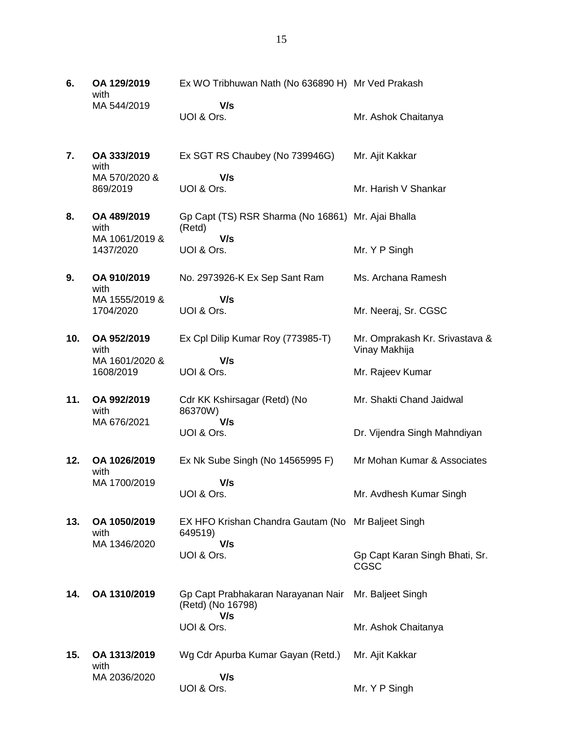| 6.  | OA 129/2019<br>with         | Ex WO Tribhuwan Nath (No 636890 H) Mr Ved Prakash             |                                                 |
|-----|-----------------------------|---------------------------------------------------------------|-------------------------------------------------|
|     | MA 544/2019                 | V/s<br>UOI & Ors.                                             | Mr. Ashok Chaitanya                             |
| 7.  | OA 333/2019<br>with         | Ex SGT RS Chaubey (No 739946G)                                | Mr. Ajit Kakkar                                 |
|     | MA 570/2020 &<br>869/2019   | V/s<br>UOI & Ors.                                             | Mr. Harish V Shankar                            |
| 8.  | OA 489/2019<br>with         | Gp Capt (TS) RSR Sharma (No 16861) Mr. Ajai Bhalla<br>(Retd)  |                                                 |
|     | MA 1061/2019 &<br>1437/2020 | V/s<br>UOI & Ors.                                             | Mr. Y P Singh                                   |
| 9.  | OA 910/2019<br>with         | No. 2973926-K Ex Sep Sant Ram                                 | Ms. Archana Ramesh                              |
|     | MA 1555/2019 &<br>1704/2020 | V/s<br>UOI & Ors.                                             | Mr. Neeraj, Sr. CGSC                            |
| 10. | OA 952/2019<br>with         | Ex Cpl Dilip Kumar Roy (773985-T)                             | Mr. Omprakash Kr. Srivastava &<br>Vinay Makhija |
|     | MA 1601/2020 &<br>1608/2019 | V/s<br>UOI & Ors.                                             | Mr. Rajeev Kumar                                |
| 11. | OA 992/2019<br>with         | Cdr KK Kshirsagar (Retd) (No<br>86370W)                       | Mr. Shakti Chand Jaidwal                        |
|     | MA 676/2021                 | V/s<br>UOI & Ors.                                             | Dr. Vijendra Singh Mahndiyan                    |
| 12. | OA 1026/2019<br>with        | Ex Nk Sube Singh (No 14565995 F)                              | Mr Mohan Kumar & Associates                     |
|     | MA 1700/2019                | V/s<br>UOI & Ors.                                             | Mr. Avdhesh Kumar Singh                         |
| 13. | OA 1050/2019<br>with        | EX HFO Krishan Chandra Gautam (No Mr Baljeet Singh<br>649519) |                                                 |
|     | MA 1346/2020                | V/s<br>UOI & Ors.                                             | Gp Capt Karan Singh Bhati, Sr.<br>CGSC          |
| 14. | OA 1310/2019                | Gp Capt Prabhakaran Narayanan Nair<br>(Retd) (No 16798)       | Mr. Baljeet Singh                               |
|     |                             | V/s<br>UOI & Ors.                                             | Mr. Ashok Chaitanya                             |
| 15. | OA 1313/2019<br>with        | Wg Cdr Apurba Kumar Gayan (Retd.)                             | Mr. Ajit Kakkar                                 |
|     | MA 2036/2020                | V/s<br>UOI & Ors.                                             | Mr. Y P Singh                                   |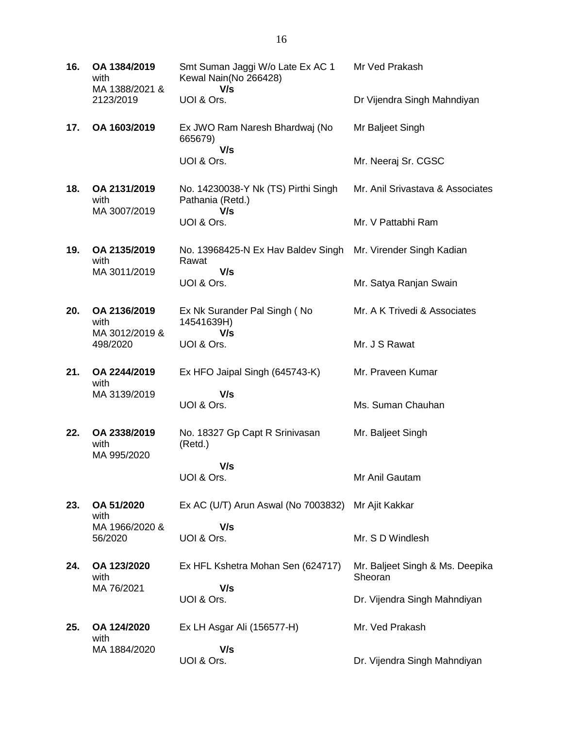| 16. | OA 1384/2019<br>with<br>MA 1388/2021 &<br>2123/2019 | Smt Suman Jaggi W/o Late Ex AC 1<br>Kewal Nain(No 266428)<br>V/s | Mr Ved Prakash                             |
|-----|-----------------------------------------------------|------------------------------------------------------------------|--------------------------------------------|
|     |                                                     | UOI & Ors.                                                       | Dr Vijendra Singh Mahndiyan                |
| 17. | OA 1603/2019                                        | Ex JWO Ram Naresh Bhardwaj (No<br>665679)<br>V/s                 | Mr Baljeet Singh                           |
|     |                                                     | UOI & Ors.                                                       | Mr. Neeraj Sr. CGSC                        |
| 18. | OA 2131/2019<br>with<br>MA 3007/2019                | No. 14230038-Y Nk (TS) Pirthi Singh<br>Pathania (Retd.)<br>V/s   | Mr. Anil Srivastava & Associates           |
|     |                                                     | UOI & Ors.                                                       | Mr. V Pattabhi Ram                         |
| 19. | OA 2135/2019<br>with<br>MA 3011/2019                | No. 13968425-N Ex Hav Baldev Singh<br>Rawat<br>V/s               | Mr. Virender Singh Kadian                  |
|     |                                                     | UOI & Ors.                                                       | Mr. Satya Ranjan Swain                     |
| 20. | OA 2136/2019<br>with<br>MA 3012/2019 &              | Ex Nk Surander Pal Singh (No<br>14541639H)<br>V/s                | Mr. A K Trivedi & Associates               |
|     | 498/2020                                            | UOI & Ors.                                                       | Mr. J S Rawat                              |
| 21. | OA 2244/2019<br>with                                | Ex HFO Jaipal Singh (645743-K)                                   | Mr. Praveen Kumar                          |
|     | MA 3139/2019                                        | V/s<br>UOI & Ors.                                                | Ms. Suman Chauhan                          |
| 22. | OA 2338/2019<br>with<br>MA 995/2020                 | No. 18327 Gp Capt R Srinivasan<br>(Retd.)                        | Mr. Baljeet Singh                          |
|     |                                                     | V/s<br>UOI & Ors.                                                | Mr Anil Gautam                             |
| 23. | OA 51/2020<br>with                                  | Ex AC (U/T) Arun Aswal (No 7003832)                              | Mr Ajit Kakkar                             |
|     | MA 1966/2020 &<br>56/2020                           | V/s<br>UOI & Ors.                                                | Mr. S D Windlesh                           |
| 24. | OA 123/2020<br>with                                 | Ex HFL Kshetra Mohan Sen (624717)                                | Mr. Baljeet Singh & Ms. Deepika<br>Sheoran |
|     | MA 76/2021                                          | V/s<br>UOI & Ors.                                                | Dr. Vijendra Singh Mahndiyan               |
| 25. |                                                     |                                                                  |                                            |
|     | OA 124/2020<br>with                                 | Ex LH Asgar Ali (156577-H)                                       | Mr. Ved Prakash                            |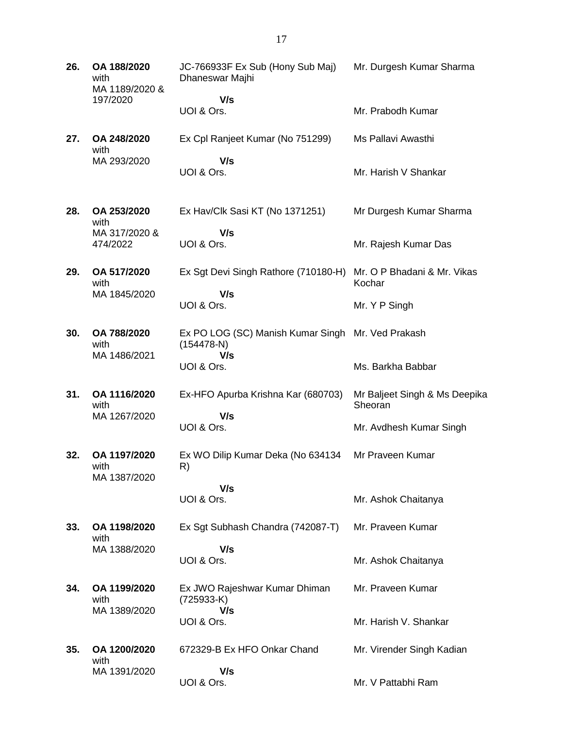**26. OA 188/2020** with MA 1189/2020 & 197/2020 JC-766933F Ex Sub (Hony Sub Maj) Dhaneswar Majhi  **V/s** UOI & Ors. Mr. Durgesh Kumar Sharma Mr. Prabodh Kumar **27. OA 248/2020** with MA 293/2020 Ex Cpl Ranjeet Kumar (No 751299)  **V/s** UOI & Ors. Ms Pallavi Awasthi Mr. Harish V Shankar **28. OA 253/2020** with MA 317/2020 & 474/2022 Ex Hav/Clk Sasi KT (No 1371251)  **V/s** UOI & Ors. Mr Durgesh Kumar Sharma Mr. Rajesh Kumar Das **29. OA 517/2020** with MA 1845/2020 Ex Sgt Devi Singh Rathore (710180-H)  **V/s** UOI & Ors. Mr. O P Bhadani & Mr. Vikas Kochar Mr. Y P Singh **30. OA 788/2020** with MA 1486/2021 Ex PO LOG (SC) Manish Kumar Singh Mr. Ved Prakash (154478-N)  **V/s** UOI & Ors. Ms. Barkha Babbar **31. OA 1116/2020** with MA 1267/2020 Ex-HFO Apurba Krishna Kar (680703)  **V/s** UOI & Ors. Mr Baljeet Singh & Ms Deepika **Sheoran** Mr. Avdhesh Kumar Singh **32. OA 1197/2020** with MA 1387/2020 Ex WO Dilip Kumar Deka (No 634134 R)  **V/s** UOI & Ors. Mr Praveen Kumar Mr. Ashok Chaitanya **33. OA 1198/2020** with MA 1388/2020 Ex Sgt Subhash Chandra (742087-T)  **V/s** UOI & Ors. Mr. Praveen Kumar Mr. Ashok Chaitanya **34. OA 1199/2020** with MA 1389/2020 Ex JWO Rajeshwar Kumar Dhiman (725933-K)  **V/s** UOI & Ors. Mr. Praveen Kumar Mr. Harish V. Shankar **35. OA 1200/2020** with MA 1391/2020 672329-B Ex HFO Onkar Chand  **V/s** UOI & Ors. Mr. Virender Singh Kadian Mr. V Pattabhi Ram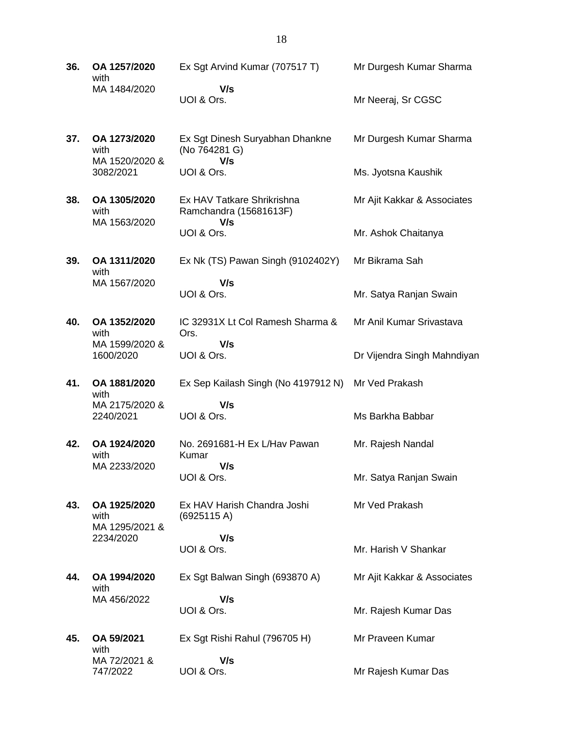- **36. OA 1257/2020** with MA 1484/2020 Ex Sgt Arvind Kumar (707517 T)  **V/s** UOI & Ors. Mr Durgesh Kumar Sharma Mr Neeraj, Sr CGSC
- **37. OA 1273/2020** with MA 1520/2020 & 3082/2021 Ex Sgt Dinesh Suryabhan Dhankne (No 764281 G)  **V/s** UOI & Ors. Mr Durgesh Kumar Sharma Ms. Jyotsna Kaushik
- **38. OA 1305/2020** with MA 1563/2020 Ex HAV Tatkare Shrikrishna Ramchandra (15681613F)  **V/s** UOI & Ors. Mr Ajit Kakkar & Associates Mr. Ashok Chaitanya

Mr Bikrama Sah

Mr. Satya Ranjan Swain

Mr Anil Kumar Srivastava

Ms Barkha Babbar

Mr. Rajesh Nandal

Mr Ved Prakash

Mr. Satya Ranjan Swain

Mr. Harish V Shankar

Mr. Rajesh Kumar Das

Mr Ajit Kakkar & Associates

Dr Vijendra Singh Mahndiyan

- **39. OA 1311/2020** with MA 1567/2020 Ex Nk (TS) Pawan Singh (9102402Y)  **V/s** UOI & Ors.
- **40. OA 1352/2020** with MA 1599/2020 & 1600/2020 IC 32931X Lt Col Ramesh Sharma & Ors.  **V/s** UOI & Ors.
- **41. OA 1881/2020** with MA 2175/2020 & Ex Sep Kailash Singh (No 4197912 N) Mr Ved Prakash  **V/s**
	- 2240/2021 UOI & Ors.
- **42. OA 1924/2020** with MA 2233/2020 No. 2691681-H Ex L/Hav Pawan Kumar  **V/s**
	- UOI & Ors.
- **43. OA 1925/2020** with MA 1295/2021 & 2234/2020 Ex HAV Harish Chandra Joshi
	- (6925115 A)  **V/s** UOI & Ors.
- **44. OA 1994/2020** with MA 456/2022
- Ex Sgt Balwan Singh (693870 A)  **V/s** UOI & Ors.
- **45. OA 59/2021** with MA 72/2021 & 747/2022 Ex Sgt Rishi Rahul (796705 H)  **V/s** UOI & Ors. Mr Praveen Kumar Mr Rajesh Kumar Das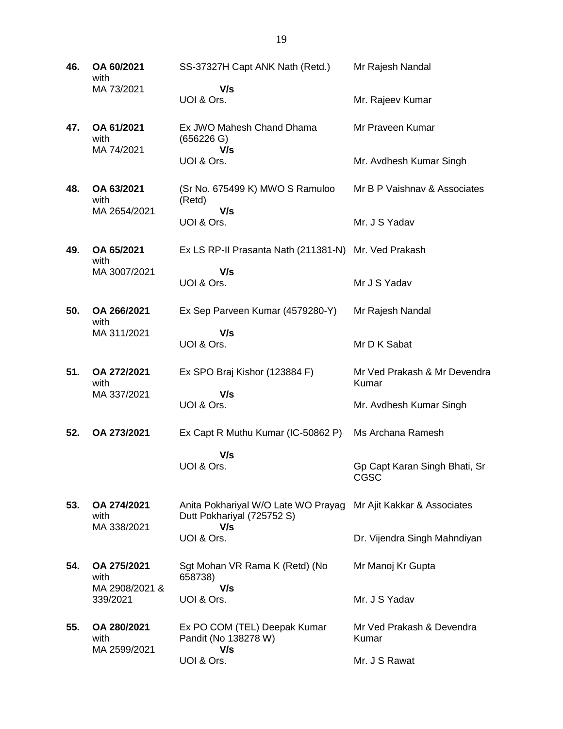**46. OA 60/2021** with MA 73/2021 SS-37327H Capt ANK Nath (Retd.)  **V/s** UOI & Ors. Mr Rajesh Nandal Mr. Rajeev Kumar **47. OA 61/2021** with MA 74/2021 Ex JWO Mahesh Chand Dhama (656226 G)  **V/s** UOI & Ors. Mr Praveen Kumar Mr. Avdhesh Kumar Singh **48. OA 63/2021** with MA 2654/2021 (Sr No. 675499 K) MWO S Ramuloo (Retd)  **V/s** UOI & Ors. Mr B P Vaishnav & Associates Mr. J S Yadav **49. OA 65/2021** with MA 3007/2021 Ex LS RP-II Prasanta Nath (211381-N) Mr. Ved Prakash  **V/s** UOI & Ors. Mr J S Yadav **50. OA 266/2021** with MA 311/2021 Ex Sep Parveen Kumar (4579280-Y)  **V/s** UOI & Ors. Mr Rajesh Nandal Mr D K Sabat **51. OA 272/2021** with MA 337/2021 Ex SPO Braj Kishor (123884 F)  **V/s** UOI & Ors. Mr Ved Prakash & Mr Devendra Kumar Mr. Avdhesh Kumar Singh **52. OA 273/2021** Ex Capt R Muthu Kumar (IC-50862 P)  **V/s** UOI & Ors. Ms Archana Ramesh Gp Capt Karan Singh Bhati, Sr CGSC **53. OA 274/2021** with MA 338/2021 Anita Pokhariyal W/O Late WO Prayag Mr Ajit Kakkar & Associates Dutt Pokhariyal (725752 S)  **V/s** UOI & Ors. Dr. Vijendra Singh Mahndiyan **54. OA 275/2021** with MA 2908/2021 & 339/2021 Sgt Mohan VR Rama K (Retd) (No 658738)  **V/s** UOI & Ors. Mr Manoj Kr Gupta Mr. J S Yadav **55. OA 280/2021** with MA 2599/2021 Ex PO COM (TEL) Deepak Kumar Pandit (No 138278 W)  **V/s** UOI & Ors. Mr Ved Prakash & Devendra Kumar Mr. J S Rawat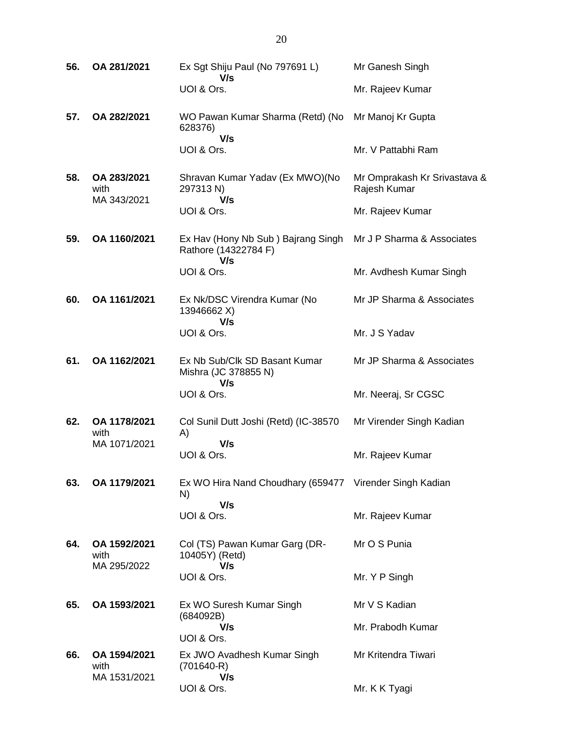| 56. | OA 281/2021                        | Ex Sgt Shiju Paul (No 797691 L)<br>V/s                            | Mr Ganesh Singh                              |
|-----|------------------------------------|-------------------------------------------------------------------|----------------------------------------------|
|     |                                    | UOI & Ors.                                                        | Mr. Rajeev Kumar                             |
| 57. | OA 282/2021                        | WO Pawan Kumar Sharma (Retd) (No<br>628376)<br>V/s                | Mr Manoj Kr Gupta                            |
|     |                                    | UOI & Ors.                                                        | Mr. V Pattabhi Ram                           |
| 58. | OA 283/2021<br>with<br>MA 343/2021 | Shravan Kumar Yadav (Ex MWO)(No<br>297313 N)<br>V/s               | Mr Omprakash Kr Srivastava &<br>Rajesh Kumar |
|     |                                    | UOI & Ors.                                                        | Mr. Rajeev Kumar                             |
| 59. | OA 1160/2021                       | Ex Hav (Hony Nb Sub) Bajrang Singh<br>Rathore (14322784 F)<br>V/s | Mr J P Sharma & Associates                   |
|     |                                    | UOI & Ors.                                                        | Mr. Avdhesh Kumar Singh                      |
| 60. | OA 1161/2021                       | Ex Nk/DSC Virendra Kumar (No<br>13946662 X)<br>V/s                | Mr JP Sharma & Associates                    |
|     |                                    | UOI & Ors.                                                        | Mr. J S Yadav                                |
| 61. | OA 1162/2021                       | Ex Nb Sub/Clk SD Basant Kumar<br>Mishra (JC 378855 N)<br>V/s      | Mr JP Sharma & Associates                    |
|     |                                    | UOI & Ors.                                                        | Mr. Neeraj, Sr CGSC                          |
| 62. | OA 1178/2021<br>with               | Col Sunil Dutt Joshi (Retd) (IC-38570<br>A)                       | Mr Virender Singh Kadian                     |
|     | MA 1071/2021                       | V/s<br>UOI & Ors.                                                 | Mr. Rajeev Kumar                             |
| 63. | OA 1179/2021                       | Ex WO Hira Nand Choudhary (659477 Virender Singh Kadian<br>N)     |                                              |
|     |                                    | V/s<br>UOI & Ors.                                                 | Mr. Rajeev Kumar                             |
| 64. | OA 1592/2021<br>with               | Col (TS) Pawan Kumar Garg (DR-<br>10405Y) (Retd)                  | Mr O S Punia                                 |
|     | MA 295/2022                        | V/s<br>UOI & Ors.                                                 | Mr. Y P Singh                                |
| 65. | OA 1593/2021                       | Ex WO Suresh Kumar Singh                                          | Mr V S Kadian                                |
|     |                                    | (684092B)<br>V/s<br>UOI & Ors.                                    | Mr. Prabodh Kumar                            |
| 66. | OA 1594/2021<br>with               | Ex JWO Avadhesh Kumar Singh<br>$(701640-R)$                       | Mr Kritendra Tiwari                          |
|     | MA 1531/2021                       | V/s<br>UOI & Ors.                                                 | Mr. K K Tyagi                                |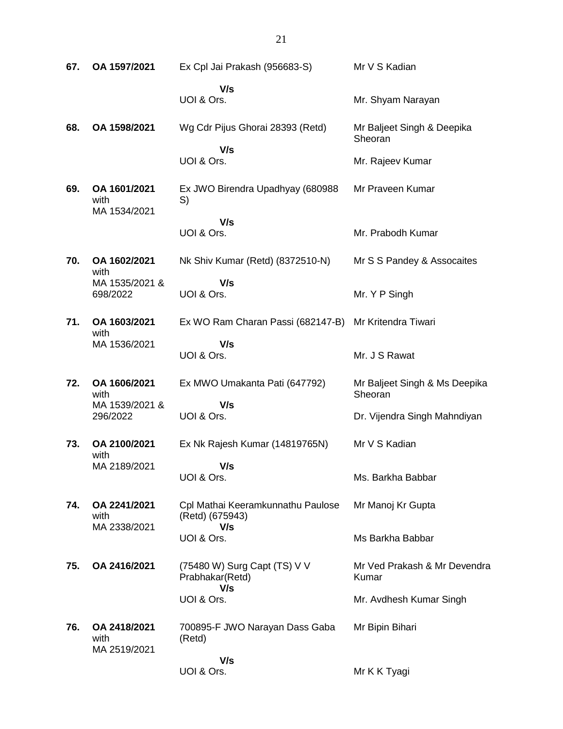**67. OA 1597/2021** Ex Cpl Jai Prakash (956683-S)  **V/s** UOI & Ors. Mr V S Kadian Mr. Shyam Narayan **68. OA 1598/2021** Wg Cdr Pijus Ghorai 28393 (Retd)  **V/s** UOI & Ors. Mr Baljeet Singh & Deepika Sheoran Mr. Rajeev Kumar **69. OA 1601/2021** with MA 1534/2021 Ex JWO Birendra Upadhyay (680988 S)  **V/s** UOI & Ors. Mr Praveen Kumar Mr. Prabodh Kumar **70. OA 1602/2021** with MA 1535/2021 & 698/2022 Nk Shiv Kumar (Retd) (8372510-N)  **V/s** UOI & Ors. Mr S S Pandey & Assocaites Mr. Y P Singh **71. OA 1603/2021** with MA 1536/2021 Ex WO Ram Charan Passi (682147-B) Mr Kritendra Tiwari  **V/s** UOI & Ors. Mr. J S Rawat **72. OA 1606/2021** with MA 1539/2021 & 296/2022 Ex MWO Umakanta Pati (647792)  **V/s** UOI & Ors. Mr Baljeet Singh & Ms Deepika **Sheoran** Dr. Vijendra Singh Mahndiyan **73. OA 2100/2021** with MA 2189/2021 Ex Nk Rajesh Kumar (14819765N)  **V/s** UOI & Ors. Mr V S Kadian Ms. Barkha Babbar **74. OA 2241/2021** with MA 2338/2021 Cpl Mathai Keeramkunnathu Paulose (Retd) (675943)  **V/s** UOI & Ors. Mr Manoj Kr Gupta Ms Barkha Babbar **75. OA 2416/2021** (75480 W) Surg Capt (TS) V V Prabhakar(Retd)  **V/s** UOI & Ors. Mr Ved Prakash & Mr Devendra Kumar Mr. Avdhesh Kumar Singh **76. OA 2418/2021** with MA 2519/2021 700895-F JWO Narayan Dass Gaba (Retd)  **V/s** UOI & Ors. Mr Bipin Bihari Mr K K Tyagi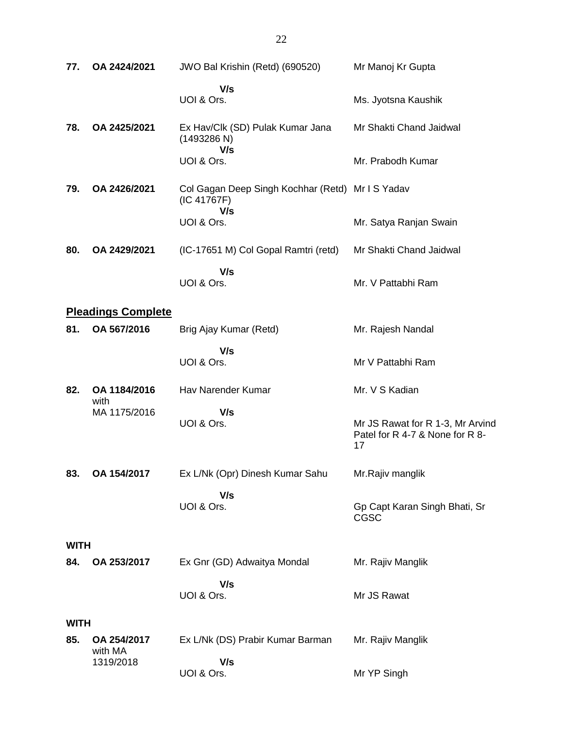| 77.         | OA 2424/2021              | JWO Bal Krishin (Retd) (690520)                                        | Mr Manoj Kr Gupta                                                         |
|-------------|---------------------------|------------------------------------------------------------------------|---------------------------------------------------------------------------|
|             |                           | V/s<br>UOI & Ors.                                                      | Ms. Jyotsna Kaushik                                                       |
| 78.         | OA 2425/2021              | Ex Hav/Clk (SD) Pulak Kumar Jana<br>(1493286 N)<br>V/s                 | Mr Shakti Chand Jaidwal                                                   |
|             |                           | UOI & Ors.                                                             | Mr. Prabodh Kumar                                                         |
| 79.         | OA 2426/2021              | Col Gagan Deep Singh Kochhar (Retd) Mr I S Yadav<br>(IC 41767F)<br>V/s |                                                                           |
|             |                           | UOI & Ors.                                                             | Mr. Satya Ranjan Swain                                                    |
| 80.         | OA 2429/2021              | (IC-17651 M) Col Gopal Ramtri (retd)                                   | Mr Shakti Chand Jaidwal                                                   |
|             |                           | V/s<br>UOI & Ors.                                                      | Mr. V Pattabhi Ram                                                        |
|             | <b>Pleadings Complete</b> |                                                                        |                                                                           |
| 81.         | OA 567/2016               | Brig Ajay Kumar (Retd)                                                 | Mr. Rajesh Nandal                                                         |
|             |                           | V/s<br>UOI & Ors.                                                      | Mr V Pattabhi Ram                                                         |
| 82.         | OA 1184/2016<br>with      | Hav Narender Kumar                                                     | Mr. V S Kadian                                                            |
|             | MA 1175/2016              | V/s<br>UOI & Ors.                                                      | Mr JS Rawat for R 1-3, Mr Arvind<br>Patel for R 4-7 & None for R 8-<br>17 |
| 83.         | OA 154/2017               | Ex L/Nk (Opr) Dinesh Kumar Sahu                                        | Mr.Rajiv manglik                                                          |
|             |                           | V/s<br>UOI & Ors.                                                      | Gp Capt Karan Singh Bhati, Sr<br><b>CGSC</b>                              |
| <b>WITH</b> |                           |                                                                        |                                                                           |
| 84.         | OA 253/2017               | Ex Gnr (GD) Adwaitya Mondal                                            | Mr. Rajiv Manglik                                                         |
|             |                           | V/s<br>UOI & Ors.                                                      | Mr JS Rawat                                                               |
| <b>WITH</b> |                           |                                                                        |                                                                           |
| 85.         | OA 254/2017<br>with MA    | Ex L/Nk (DS) Prabir Kumar Barman                                       | Mr. Rajiv Manglik                                                         |
|             | 1319/2018                 | V/s<br>UOI & Ors.                                                      | Mr YP Singh                                                               |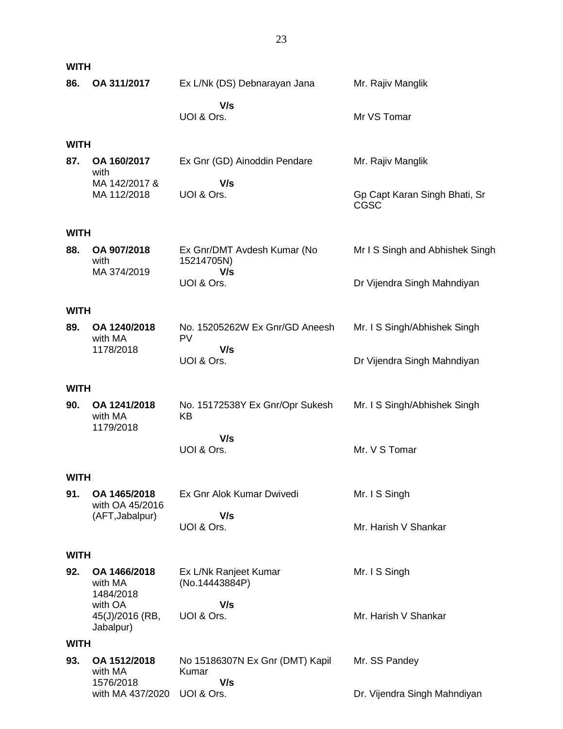| <b>WITH</b> |                                         |                                           |                                              |
|-------------|-----------------------------------------|-------------------------------------------|----------------------------------------------|
| 86.         | OA 311/2017                             | Ex L/Nk (DS) Debnarayan Jana              | Mr. Rajiv Manglik                            |
|             |                                         | V/s<br>UOI & Ors.                         | Mr VS Tomar                                  |
| <b>WITH</b> |                                         |                                           |                                              |
| 87.         | OA 160/2017<br>with                     | Ex Gnr (GD) Ainoddin Pendare              | Mr. Rajiv Manglik                            |
|             | MA 142/2017 &<br>MA 112/2018            | V/s<br>UOI & Ors.                         | Gp Capt Karan Singh Bhati, Sr<br><b>CGSC</b> |
| <b>WITH</b> |                                         |                                           |                                              |
| 88.         | OA 907/2018<br>with                     | Ex Gnr/DMT Avdesh Kumar (No<br>15214705N) | Mr I S Singh and Abhishek Singh              |
|             | MA 374/2019                             | V/s<br>UOI & Ors.                         | Dr Vijendra Singh Mahndiyan                  |
| <b>WITH</b> |                                         |                                           |                                              |
| 89.         | OA 1240/2018<br>with MA                 | No. 15205262W Ex Gnr/GD Aneesh<br>PV      | Mr. I S Singh/Abhishek Singh                 |
|             | 1178/2018                               | V/s<br>UOI & Ors.                         | Dr Vijendra Singh Mahndiyan                  |
| <b>WITH</b> |                                         |                                           |                                              |
| 90.         | OA 1241/2018<br>with MA<br>1179/2018    | No. 15172538Y Ex Gnr/Opr Sukesh<br>KB     | Mr. I S Singh/Abhishek Singh                 |
|             |                                         | V/s<br>UOI & Ors.                         | Mr. V S Tomar                                |
| <b>WITH</b> |                                         |                                           |                                              |
| 91.         | OA 1465/2018<br>with OA 45/2016         | Ex Gnr Alok Kumar Dwivedi                 | Mr. I S Singh                                |
|             | (AFT, Jabalpur)                         | V/s<br>UOI & Ors.                         | Mr. Harish V Shankar                         |
| <b>WITH</b> |                                         |                                           |                                              |
| 92.         | OA 1466/2018<br>with MA<br>1484/2018    | Ex L/Nk Ranjeet Kumar<br>(No.14443884P)   | Mr. I S Singh                                |
|             | with OA<br>45(J)/2016 (RB,<br>Jabalpur) | V/s<br>UOI & Ors.                         | Mr. Harish V Shankar                         |
| <b>WITH</b> |                                         |                                           |                                              |
| 93.         | OA 1512/2018<br>with MA                 | No 15186307N Ex Gnr (DMT) Kapil<br>Kumar  | Mr. SS Pandey                                |
|             | 1576/2018<br>with MA 437/2020           | V/s<br>UOI & Ors.                         | Dr. Vijendra Singh Mahndiyan                 |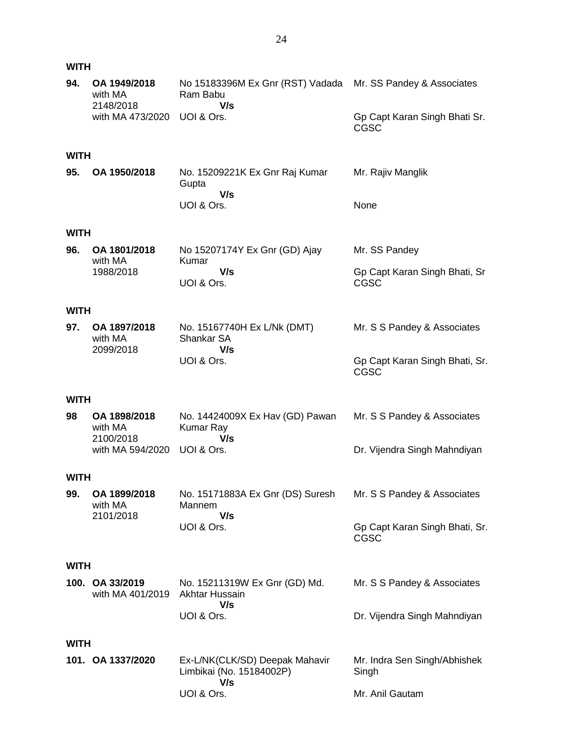#### **WITH**

| 94.         | OA 1949/2018<br>with MA<br>2148/2018 | No 15183396M Ex Gnr (RST) Vadada<br>Ram Babu<br>V/s               | Mr. SS Pandey & Associates                    |
|-------------|--------------------------------------|-------------------------------------------------------------------|-----------------------------------------------|
|             | with MA 473/2020                     | UOI & Ors.                                                        | Gp Capt Karan Singh Bhati Sr.<br><b>CGSC</b>  |
| <b>WITH</b> |                                      |                                                                   |                                               |
| 95.         | OA 1950/2018                         | No. 15209221K Ex Gnr Raj Kumar<br>Gupta<br>V/s                    | Mr. Rajiv Manglik                             |
|             |                                      | UOI & Ors.                                                        | None                                          |
| <b>WITH</b> |                                      |                                                                   |                                               |
| 96.         | OA 1801/2018<br>with MA              | No 15207174Y Ex Gnr (GD) Ajay<br>Kumar                            | Mr. SS Pandey                                 |
|             | 1988/2018                            | V/s<br>UOI & Ors.                                                 | Gp Capt Karan Singh Bhati, Sr<br>CGSC         |
| <b>WITH</b> |                                      |                                                                   |                                               |
| 97.         | OA 1897/2018<br>with MA<br>2099/2018 | No. 15167740H Ex L/Nk (DMT)<br>Shankar SA<br>V/s                  | Mr. S S Pandey & Associates                   |
|             |                                      | UOI & Ors.                                                        | Gp Capt Karan Singh Bhati, Sr.<br><b>CGSC</b> |
| <b>WITH</b> |                                      |                                                                   |                                               |
| 98          | OA 1898/2018<br>with MA<br>2100/2018 | No. 14424009X Ex Hav (GD) Pawan<br>Kumar Ray<br>V/s               | Mr. S S Pandey & Associates                   |
|             | with MA 594/2020                     | UOI & Ors.                                                        | Dr. Vijendra Singh Mahndiyan                  |
| <b>WITH</b> |                                      |                                                                   |                                               |
| 99.         | OA 1899/2018<br>with MA<br>2101/2018 | No. 15171883A Ex Gnr (DS) Suresh<br>Mannem<br>V/s                 | Mr. S S Pandey & Associates                   |
|             |                                      | UOI & Ors.                                                        | Gp Capt Karan Singh Bhati, Sr.<br>CGSC        |
| <b>WITH</b> |                                      |                                                                   |                                               |
|             | 100. OA 33/2019<br>with MA 401/2019  | No. 15211319W Ex Gnr (GD) Md.<br>Akhtar Hussain                   | Mr. S S Pandey & Associates                   |
|             |                                      | V/s<br>UOI & Ors.                                                 | Dr. Vijendra Singh Mahndiyan                  |
| <b>WITH</b> |                                      |                                                                   |                                               |
|             | 101. OA 1337/2020                    | Ex-L/NK(CLK/SD) Deepak Mahavir<br>Limbikai (No. 15184002P)<br>V/s | Mr. Indra Sen Singh/Abhishek<br>Singh         |
|             |                                      | UOI & Ors.                                                        | Mr. Anil Gautam                               |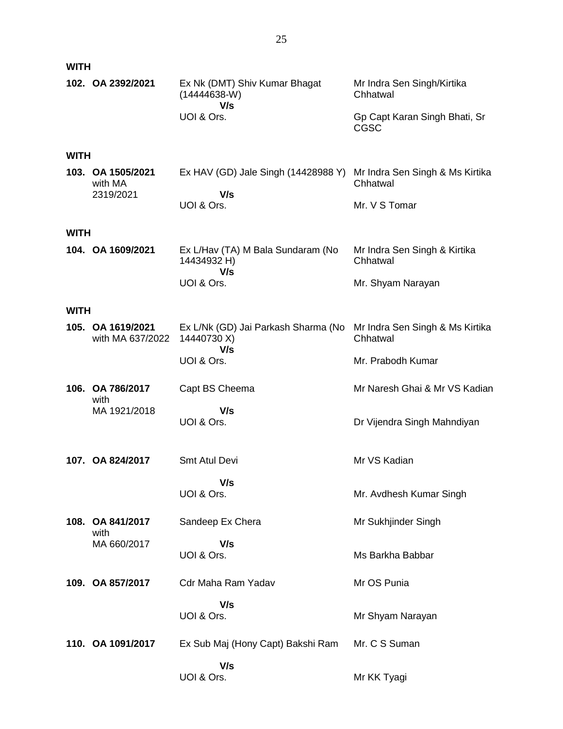| <b>WITH</b> |                                           |                                                                      |                                                                                 |
|-------------|-------------------------------------------|----------------------------------------------------------------------|---------------------------------------------------------------------------------|
|             | 102. OA 2392/2021                         | Ex Nk (DMT) Shiv Kumar Bhagat<br>$(14444638-W)$<br>V/s<br>UOI & Ors. | Mr Indra Sen Singh/Kirtika<br>Chhatwal<br>Gp Capt Karan Singh Bhati, Sr<br>CGSC |
| <b>WITH</b> |                                           |                                                                      |                                                                                 |
|             | 103. OA 1505/2021<br>with MA<br>2319/2021 | Ex HAV (GD) Jale Singh (14428988 Y)<br>V/s<br>UOI & Ors.             | Mr Indra Sen Singh & Ms Kirtika<br>Chhatwal<br>Mr. V S Tomar                    |
| <b>WITH</b> |                                           |                                                                      |                                                                                 |
|             | 104. OA 1609/2021                         | Ex L/Hav (TA) M Bala Sundaram (No<br>14434932 H)                     | Mr Indra Sen Singh & Kirtika<br>Chhatwal                                        |
|             |                                           | V/s<br>UOI & Ors.                                                    | Mr. Shyam Narayan                                                               |
| <b>WITH</b> |                                           |                                                                      |                                                                                 |
|             | 105. OA 1619/2021<br>with MA 637/2022     | Ex L/Nk (GD) Jai Parkash Sharma (No<br>14440730 X)                   | Mr Indra Sen Singh & Ms Kirtika<br>Chhatwal                                     |
|             |                                           | V/s<br>UOI & Ors.                                                    | Mr. Prabodh Kumar                                                               |
|             | 106. OA 786/2017<br>with                  | Capt BS Cheema                                                       | Mr Naresh Ghai & Mr VS Kadian                                                   |
|             | MA 1921/2018                              | V/s<br>UOI & Ors.                                                    | Dr Vijendra Singh Mahndiyan                                                     |
|             | 107. OA 824/2017                          | Smt Atul Devi                                                        | Mr VS Kadian                                                                    |
|             |                                           | V/s<br>UOI & Ors.                                                    | Mr. Avdhesh Kumar Singh                                                         |
|             | 108. OA 841/2017                          | Sandeep Ex Chera                                                     | Mr Sukhjinder Singh                                                             |
|             | with<br>MA 660/2017                       | V/s<br>UOI & Ors.                                                    | Ms Barkha Babbar                                                                |
|             | 109. OA 857/2017                          | Cdr Maha Ram Yadav                                                   | Mr OS Punia                                                                     |
|             |                                           | V/s<br>UOI & Ors.                                                    | Mr Shyam Narayan                                                                |
|             | 110. OA 1091/2017                         | Ex Sub Maj (Hony Capt) Bakshi Ram                                    | Mr. C S Suman                                                                   |
|             |                                           | V/s<br>UOI & Ors.                                                    | Mr KK Tyagi                                                                     |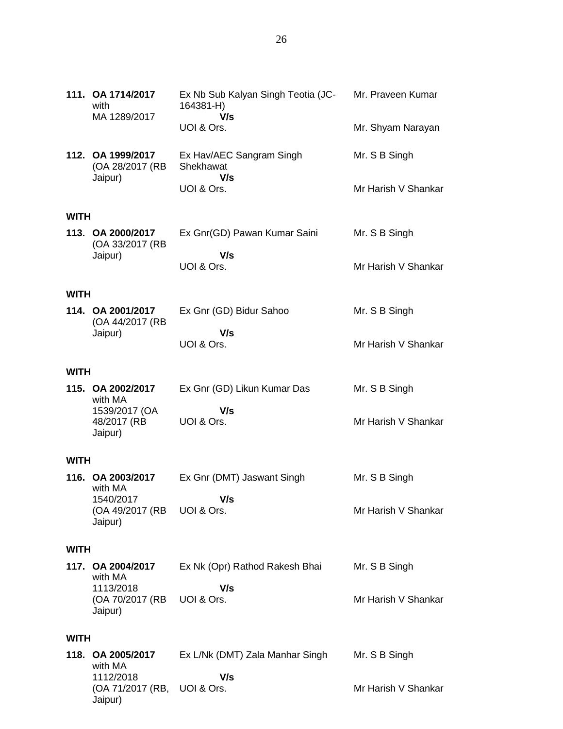|             | 111. OA 1714/2017<br>with<br>MA 1289/2017       | Ex Nb Sub Kalyan Singh Teotia (JC-<br>164381-H)<br>V/s | Mr. Praveen Kumar   |
|-------------|-------------------------------------------------|--------------------------------------------------------|---------------------|
|             |                                                 | UOI & Ors.                                             | Mr. Shyam Narayan   |
|             | 112. OA 1999/2017<br>(OA 28/2017 (RB<br>Jaipur) | Ex Hav/AEC Sangram Singh<br>Shekhawat<br>V/s           | Mr. S B Singh       |
|             |                                                 | UOI & Ors.                                             | Mr Harish V Shankar |
| <b>WITH</b> |                                                 |                                                        |                     |
|             | 113. OA 2000/2017<br>(OA 33/2017 (RB<br>Jaipur) | Ex Gnr(GD) Pawan Kumar Saini<br>V/s                    | Mr. S B Singh       |
|             |                                                 | UOI & Ors.                                             | Mr Harish V Shankar |
| <b>WITH</b> |                                                 |                                                        |                     |
|             | 114. OA 2001/2017<br>(OA 44/2017 (RB            | Ex Gnr (GD) Bidur Sahoo                                | Mr. S B Singh       |
|             | Jaipur)                                         | V/s<br>UOI & Ors.                                      | Mr Harish V Shankar |
| <b>WITH</b> |                                                 |                                                        |                     |
|             | 115. OA 2002/2017<br>with MA                    | Ex Gnr (GD) Likun Kumar Das                            | Mr. S B Singh       |
|             | 1539/2017 (OA<br>48/2017 (RB                    | V/s<br>UOI & Ors.                                      | Mr Harish V Shankar |

#### **WITH**

Jaipur)

| 116. OA 2003/2017          | Ex Gnr (DMT) Jaswant Singh | Mr. S B Singh       |
|----------------------------|----------------------------|---------------------|
| with MA                    |                            |                     |
| 1540/2017                  | V/s                        |                     |
| (OA 49/2017 (RB UOI & Ors. |                            | Mr Harish V Shankar |
| Jaipur)                    |                            |                     |

#### **WITH**

**117. OA 2004/2017** with MA 1113/2018 (OA 70/2017 (RB Jaipur) Ex Nk (Opr) Rathod Rakesh Bhai  **V/s** UOI & Ors. Mr. S B Singh Mr Harish V Shankar

### **WITH**

**118. OA 2005/2017** with MA 1112/2018 (OA 71/2017 (RB, UOI & Ors. Jaipur) Ex L/Nk (DMT) Zala Manhar Singh  **V/s** Mr. S B Singh Mr Harish V Shankar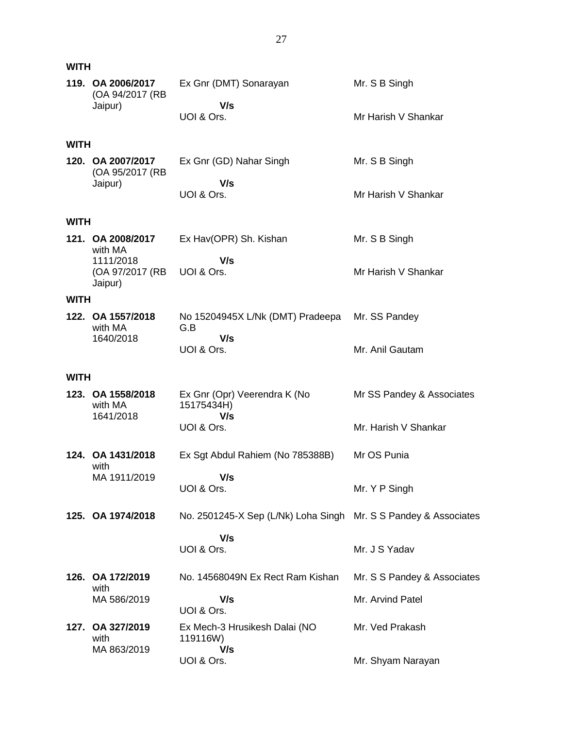| <b>WITH</b> |                                           |                                                                 |                             |
|-------------|-------------------------------------------|-----------------------------------------------------------------|-----------------------------|
|             | 119. OA 2006/2017<br>(OA 94/2017 (RB      | Ex Gnr (DMT) Sonarayan                                          | Mr. S B Singh               |
|             | Jaipur)                                   | V/s<br>UOI & Ors.                                               | Mr Harish V Shankar         |
| <b>WITH</b> |                                           |                                                                 |                             |
|             | 120. OA 2007/2017<br>(OA 95/2017 (RB      | Ex Gnr (GD) Nahar Singh                                         | Mr. S B Singh               |
|             | Jaipur)                                   | V/s<br>UOI & Ors.                                               | Mr Harish V Shankar         |
| <b>WITH</b> |                                           |                                                                 |                             |
|             | 121. OA 2008/2017<br>with MA<br>1111/2018 | Ex Hav(OPR) Sh. Kishan<br>V/s                                   | Mr. S B Singh               |
|             | (OA 97/2017 (RB<br>Jaipur)                | UOI & Ors.                                                      | Mr Harish V Shankar         |
| <b>WITH</b> |                                           |                                                                 |                             |
|             | 122. OA 1557/2018<br>with MA              | No 15204945X L/Nk (DMT) Pradeepa<br>G.B<br>V/s                  | Mr. SS Pandey               |
|             | 1640/2018                                 | UOI & Ors.                                                      | Mr. Anil Gautam             |
| <b>WITH</b> |                                           |                                                                 |                             |
|             | 123. OA 1558/2018<br>with MA<br>1641/2018 | Ex Gnr (Opr) Veerendra K (No<br>15175434H)<br>V/s               | Mr SS Pandey & Associates   |
|             |                                           | UOI & Ors.                                                      | Mr. Harish V Shankar        |
|             | 124. OA 1431/2018<br>with                 | Ex Sgt Abdul Rahiem (No 785388B)                                | Mr OS Punia                 |
|             | MA 1911/2019                              | V/s<br>UOI & Ors.                                               | Mr. Y P Singh               |
|             | 125. OA 1974/2018                         | No. 2501245-X Sep (L/Nk) Loha Singh Mr. S S Pandey & Associates |                             |
|             |                                           | V/s<br>UOI & Ors.                                               | Mr. J S Yadav               |
|             | 126. OA 172/2019<br>with                  | No. 14568049N Ex Rect Ram Kishan                                | Mr. S S Pandey & Associates |
|             | MA 586/2019                               | V/s<br>UOI & Ors.                                               | Mr. Arvind Patel            |
|             | 127. OA 327/2019<br>with<br>MA 863/2019   | Ex Mech-3 Hrusikesh Dalai (NO<br>119116W)<br>V/s                | Mr. Ved Prakash             |
|             |                                           | UOI & Ors.                                                      | Mr. Shyam Narayan           |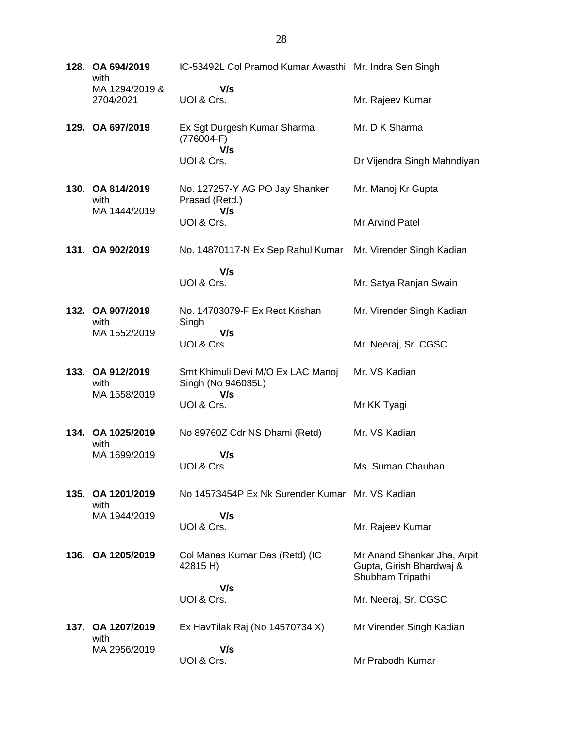| 128. OA 694/2019<br>with                 | IC-53492L Col Pramod Kumar Awasthi Mr. Indra Sen Singh  |                                                                             |
|------------------------------------------|---------------------------------------------------------|-----------------------------------------------------------------------------|
| MA 1294/2019 &<br>2704/2021              | V/s<br>UOI & Ors.                                       | Mr. Rajeev Kumar                                                            |
| 129. OA 697/2019                         | Ex Sgt Durgesh Kumar Sharma<br>$(776004-F)$             | Mr. D K Sharma                                                              |
|                                          | V/s<br>UOI & Ors.                                       | Dr Vijendra Singh Mahndiyan                                                 |
| 130. OA 814/2019<br>with<br>MA 1444/2019 | No. 127257-Y AG PO Jay Shanker<br>Prasad (Retd.)        | Mr. Manoj Kr Gupta                                                          |
|                                          | V/s<br>UOI & Ors.                                       | Mr Arvind Patel                                                             |
| 131. OA 902/2019                         | No. 14870117-N Ex Sep Rahul Kumar                       | Mr. Virender Singh Kadian                                                   |
|                                          | V/s<br>UOI & Ors.                                       | Mr. Satya Ranjan Swain                                                      |
| 132. OA 907/2019<br>with                 | No. 14703079-F Ex Rect Krishan<br>Singh                 | Mr. Virender Singh Kadian                                                   |
| MA 1552/2019                             | V/s<br>UOI & Ors.                                       | Mr. Neeraj, Sr. CGSC                                                        |
| 133. OA 912/2019<br>with                 | Smt Khimuli Devi M/O Ex LAC Manoj<br>Singh (No 946035L) | Mr. VS Kadian                                                               |
| MA 1558/2019                             | V/s<br>UOI & Ors.                                       | Mr KK Tyagi                                                                 |
| 134. OA 1025/2019<br>with                | No 89760Z Cdr NS Dhami (Retd)                           | Mr. VS Kadian                                                               |
| MA 1699/2019                             | V/s<br>UOI & Ors.                                       | Ms. Suman Chauhan                                                           |
| 135. OA 1201/2019<br>with                | No 14573454P Ex Nk Surender Kumar Mr. VS Kadian         |                                                                             |
| MA 1944/2019                             | V/s<br>UOI & Ors.                                       | Mr. Rajeev Kumar                                                            |
| 136. OA 1205/2019                        | Col Manas Kumar Das (Retd) (IC<br>42815 H)              | Mr Anand Shankar Jha, Arpit<br>Gupta, Girish Bhardwaj &<br>Shubham Tripathi |
|                                          | V/s<br>UOI & Ors.                                       | Mr. Neeraj, Sr. CGSC                                                        |
| 137. OA 1207/2019<br>with                | Ex HavTilak Raj (No 14570734 X)                         | Mr Virender Singh Kadian                                                    |
| MA 2956/2019                             | V/s<br>UOI & Ors.                                       | Mr Prabodh Kumar                                                            |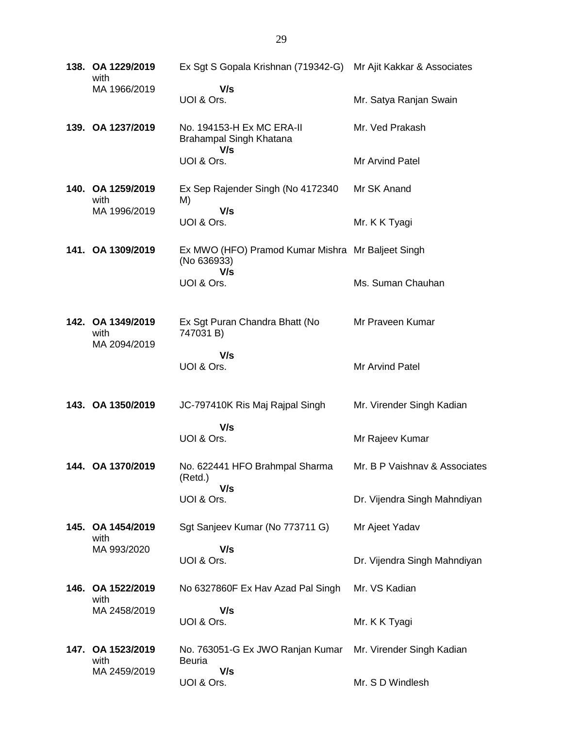| 138. OA 1229/2019<br>with                 | Ex Sgt S Gopala Krishnan (719342-G) Mr Ajit Kakkar & Associates         |                               |
|-------------------------------------------|-------------------------------------------------------------------------|-------------------------------|
| MA 1966/2019                              | V/s<br>UOI & Ors.                                                       | Mr. Satya Ranjan Swain        |
| 139. OA 1237/2019                         | No. 194153-H Ex MC ERA-II<br>Brahampal Singh Khatana<br>V/s             | Mr. Ved Prakash               |
|                                           | UOI & Ors.                                                              | Mr Arvind Patel               |
| 140. OA 1259/2019<br>with                 | Ex Sep Rajender Singh (No 4172340<br>M)                                 | Mr SK Anand                   |
| MA 1996/2019                              | V/s<br>UOI & Ors.                                                       | Mr. K K Tyagi                 |
| 141. OA 1309/2019                         | Ex MWO (HFO) Pramod Kumar Mishra Mr Baljeet Singh<br>(No 636933)<br>V/s |                               |
|                                           | UOI & Ors.                                                              | Ms. Suman Chauhan             |
| 142. OA 1349/2019<br>with<br>MA 2094/2019 | Ex Sgt Puran Chandra Bhatt (No<br>747031 B)                             | Mr Praveen Kumar              |
|                                           | V/s<br>UOI & Ors.                                                       | Mr Arvind Patel               |
| 143. OA 1350/2019                         | JC-797410K Ris Maj Rajpal Singh                                         | Mr. Virender Singh Kadian     |
|                                           | V/s<br>UOI & Ors.                                                       | Mr Rajeev Kumar               |
| 144. OA 1370/2019                         | No. 622441 HFO Brahmpal Sharma<br>(Retd.)                               | Mr. B P Vaishnav & Associates |
|                                           | V/s<br>UOI & Ors.                                                       | Dr. Vijendra Singh Mahndiyan  |
| 145. OA 1454/2019<br>with                 | Sgt Sanjeev Kumar (No 773711 G)                                         | Mr Ajeet Yadav                |
| MA 993/2020                               | V/s<br>UOI & Ors.                                                       | Dr. Vijendra Singh Mahndiyan  |
| 146. OA 1522/2019<br>with                 | No 6327860F Ex Hav Azad Pal Singh                                       | Mr. VS Kadian                 |
| MA 2458/2019                              | V/s<br>UOI & Ors.                                                       | Mr. K K Tyagi                 |
| 147. OA 1523/2019<br>with                 | No. 763051-G Ex JWO Ranjan Kumar<br>Beuria                              | Mr. Virender Singh Kadian     |
| MA 2459/2019                              | V/s<br>UOI & Ors.                                                       | Mr. S D Windlesh              |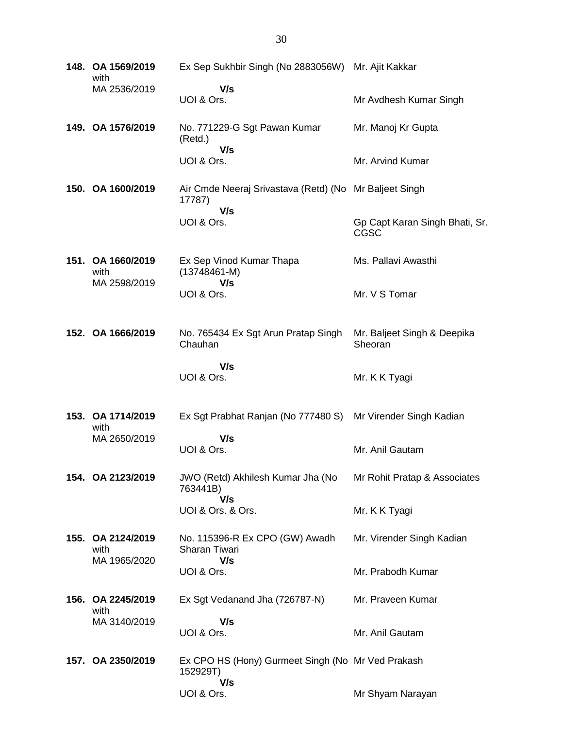| 148. OA 1569/2019<br>with                 | Ex Sep Sukhbir Singh (No 2883056W) Mr. Ajit Kakkar                      |                                               |
|-------------------------------------------|-------------------------------------------------------------------------|-----------------------------------------------|
| MA 2536/2019                              | V/s<br>UOI & Ors.                                                       | Mr Avdhesh Kumar Singh                        |
| 149. OA 1576/2019                         | No. 771229-G Sgt Pawan Kumar<br>(Retd.)<br>V/s                          | Mr. Manoj Kr Gupta                            |
|                                           | UOI & Ors.                                                              | Mr. Arvind Kumar                              |
| 150. OA 1600/2019                         | Air Cmde Neeraj Srivastava (Retd) (No Mr Baljeet Singh<br>17787)<br>V/s |                                               |
|                                           | UOI & Ors.                                                              | Gp Capt Karan Singh Bhati, Sr.<br><b>CGSC</b> |
| 151. OA 1660/2019<br>with<br>MA 2598/2019 | Ex Sep Vinod Kumar Thapa<br>$(13748461 - M)$<br>V/s                     | Ms. Pallavi Awasthi                           |
|                                           | UOI & Ors.                                                              | Mr. V S Tomar                                 |
| 152. OA 1666/2019                         | No. 765434 Ex Sgt Arun Pratap Singh<br>Chauhan                          | Mr. Baljeet Singh & Deepika<br>Sheoran        |
|                                           | V/s<br>UOI & Ors.                                                       | Mr. K K Tyagi                                 |
| 153. OA 1714/2019<br>with                 | Ex Sgt Prabhat Ranjan (No 777480 S)                                     | Mr Virender Singh Kadian                      |
| MA 2650/2019                              | V/s<br>UOI & Ors.                                                       | Mr. Anil Gautam                               |
| 154. OA 2123/2019                         | JWO (Retd) Akhilesh Kumar Jha (No<br>763441B)<br>V/s                    | Mr Rohit Pratap & Associates                  |
|                                           | UOI & Ors. & Ors.                                                       | Mr. K K Tyagi                                 |
| 155. OA 2124/2019<br>with<br>MA 1965/2020 | No. 115396-R Ex CPO (GW) Awadh<br><b>Sharan Tiwari</b><br>V/s           | Mr. Virender Singh Kadian                     |
|                                           | UOI & Ors.                                                              | Mr. Prabodh Kumar                             |
| 156. OA 2245/2019<br>with                 | Ex Sgt Vedanand Jha (726787-N)                                          | Mr. Praveen Kumar                             |
| MA 3140/2019                              | V/s<br>UOI & Ors.                                                       | Mr. Anil Gautam                               |
| 157. OA 2350/2019                         | Ex CPO HS (Hony) Gurmeet Singh (No Mr Ved Prakash<br>152929T)<br>V/s    |                                               |
|                                           | UOI & Ors.                                                              | Mr Shyam Narayan                              |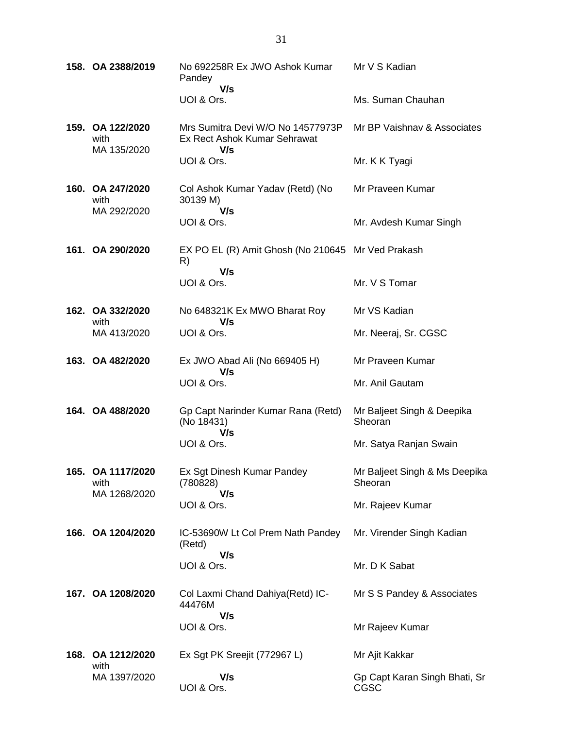|  | 158. OA 2388/2019                         | No 692258R Ex JWO Ashok Kumar<br>Pandey                                  | Mr V S Kadian                            |
|--|-------------------------------------------|--------------------------------------------------------------------------|------------------------------------------|
|  |                                           | V/s<br>UOI & Ors.                                                        | Ms. Suman Chauhan                        |
|  | 159. OA 122/2020<br>with<br>MA 135/2020   | Mrs Sumitra Devi W/O No 14577973P<br>Ex Rect Ashok Kumar Sehrawat<br>V/s | Mr BP Vaishnay & Associates              |
|  |                                           | UOI & Ors.                                                               | Mr. K K Tyagi                            |
|  | 160. OA 247/2020<br>with<br>MA 292/2020   | Col Ashok Kumar Yadav (Retd) (No<br>30139 M)<br>V/s                      | Mr Praveen Kumar                         |
|  |                                           | UOI & Ors.                                                               | Mr. Avdesh Kumar Singh                   |
|  | 161. OA 290/2020                          | EX PO EL (R) Amit Ghosh (No 210645 Mr Ved Prakash<br>R)<br>V/s           |                                          |
|  |                                           | UOI & Ors.                                                               | Mr. V S Tomar                            |
|  | 162. OA 332/2020<br>with                  | No 648321K Ex MWO Bharat Roy<br>V/s                                      | Mr VS Kadian                             |
|  | MA 413/2020                               | UOI & Ors.                                                               | Mr. Neeraj, Sr. CGSC                     |
|  | 163. OA 482/2020                          | Ex JWO Abad Ali (No 669405 H)<br>V/s                                     | Mr Praveen Kumar                         |
|  |                                           | UOI & Ors.                                                               | Mr. Anil Gautam                          |
|  | 164. OA 488/2020                          | Gp Capt Narinder Kumar Rana (Retd)<br>(No 18431)<br>V/s                  | Mr Baljeet Singh & Deepika<br>Sheoran    |
|  |                                           | UOI & Ors.                                                               | Mr. Satya Ranjan Swain                   |
|  | 165. OA 1117/2020<br>with<br>MA 1268/2020 | Ex Sgt Dinesh Kumar Pandey<br>(780828)<br>V/s                            | Mr Baljeet Singh & Ms Deepika<br>Sheoran |
|  |                                           | UOI & Ors.                                                               | Mr. Rajeev Kumar                         |
|  | 166. OA 1204/2020                         | IC-53690W Lt Col Prem Nath Pandey<br>(Retd)                              | Mr. Virender Singh Kadian                |
|  |                                           | V/s<br>UOI & Ors.                                                        | Mr. D K Sabat                            |
|  | 167. OA 1208/2020                         | Col Laxmi Chand Dahiya (Retd) IC-<br>44476M                              | Mr S S Pandey & Associates               |
|  |                                           | V/s<br>UOI & Ors.                                                        | Mr Rajeev Kumar                          |
|  | 168. OA 1212/2020<br>with                 | Ex Sgt PK Sreejit (772967 L)                                             | Mr Ajit Kakkar                           |
|  | MA 1397/2020                              | V/s<br>UOI & Ors.                                                        | Gp Capt Karan Singh Bhati, Sr<br>CGSC    |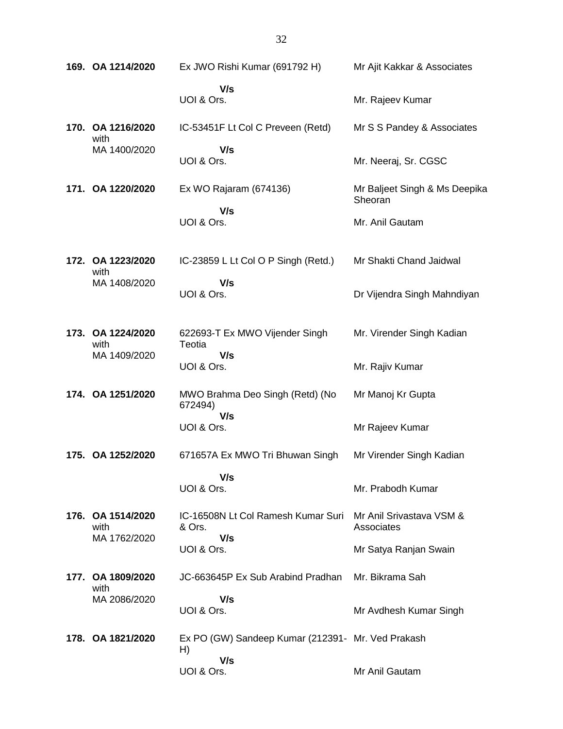| 169. OA 1214/2020         | Ex JWO Rishi Kumar (691792 H)                           | Mr Ajit Kakkar & Associates              |
|---------------------------|---------------------------------------------------------|------------------------------------------|
|                           | V/s<br>UOI & Ors.                                       | Mr. Rajeev Kumar                         |
| 170. OA 1216/2020<br>with | IC-53451F Lt Col C Preveen (Retd)                       | Mr S S Pandey & Associates               |
| MA 1400/2020              | V/s<br>UOI & Ors.                                       | Mr. Neeraj, Sr. CGSC                     |
| 171. OA 1220/2020         | Ex WO Rajaram (674136)                                  | Mr Baljeet Singh & Ms Deepika<br>Sheoran |
|                           | V/s<br>UOI & Ors.                                       | Mr. Anil Gautam                          |
| 172. OA 1223/2020<br>with | IC-23859 L Lt Col O P Singh (Retd.)                     | Mr Shakti Chand Jaidwal                  |
| MA 1408/2020              | V/s<br>UOI & Ors.                                       | Dr Vijendra Singh Mahndiyan              |
| 173. OA 1224/2020<br>with | 622693-T Ex MWO Vijender Singh<br>Teotia                | Mr. Virender Singh Kadian                |
| MA 1409/2020              | V/s<br>UOI & Ors.                                       | Mr. Rajiv Kumar                          |
| 174. OA 1251/2020         | MWO Brahma Deo Singh (Retd) (No<br>672494)              | Mr Manoj Kr Gupta                        |
|                           | V/s<br>UOI & Ors.                                       | Mr Rajeev Kumar                          |
| 175. OA 1252/2020         | 671657A Ex MWO Tri Bhuwan Singh                         | Mr Virender Singh Kadian                 |
|                           | V/s<br>UOI & Ors.                                       | Mr. Prabodh Kumar                        |
| 176. OA 1514/2020<br>with | IC-16508N Lt Col Ramesh Kumar Suri<br>& Ors.            | Mr Anil Srivastava VSM &<br>Associates   |
| MA 1762/2020              | V/s<br>UOI & Ors.                                       | Mr Satya Ranjan Swain                    |
| 177. OA 1809/2020<br>with | JC-663645P Ex Sub Arabind Pradhan                       | Mr. Bikrama Sah                          |
| MA 2086/2020              | V/s<br>UOI & Ors.                                       | Mr Avdhesh Kumar Singh                   |
| 178. OA 1821/2020         | Ex PO (GW) Sandeep Kumar (212391- Mr. Ved Prakash<br>H) |                                          |
|                           | V/s<br>UOI & Ors.                                       | Mr Anil Gautam                           |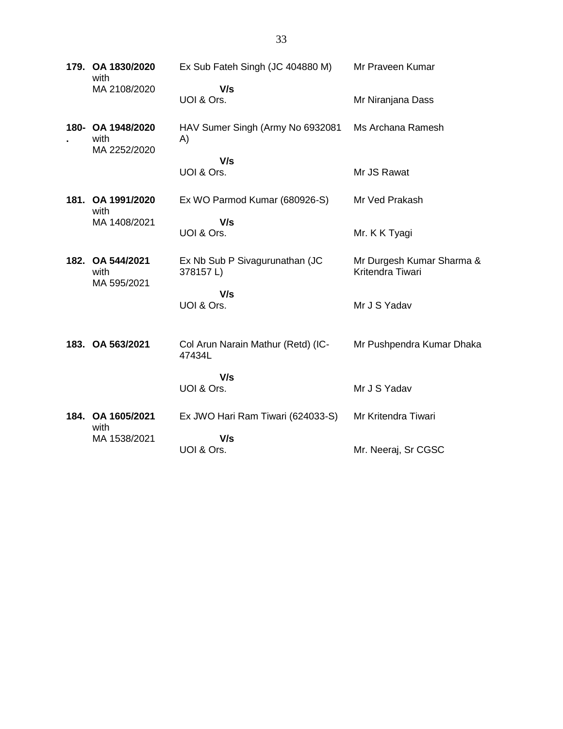**179. OA 1830/2020** with MA 2108/2020 Ex Sub Fateh Singh (JC 404880 M)  **V/s** UOI & Ors. Mr Praveen Kumar Mr Niranjana Dass **180- OA 1948/2020 .**  with MA 2252/2020 HAV Sumer Singh (Army No 6932081 A)  **V/s** UOI & Ors. Ms Archana Ramesh Mr JS Rawat **181. OA 1991/2020** with MA 1408/2021 Ex WO Parmod Kumar (680926-S)  **V/s** UOI & Ors. Mr Ved Prakash Mr. K K Tyagi **182. OA 544/2021** with MA 595/2021 Ex Nb Sub P Sivagurunathan (JC 378157 L)  **V/s** UOI & Ors. Mr Durgesh Kumar Sharma & Kritendra Tiwari Mr J S Yadav **183. OA 563/2021** Col Arun Narain Mathur (Retd) (IC-47434L  **V/s** UOI & Ors. Mr Pushpendra Kumar Dhaka Mr J S Yadav **184. OA 1605/2021** with MA 1538/2021 Ex JWO Hari Ram Tiwari (624033-S)  **V/s** UOI & Ors. Mr Kritendra Tiwari Mr. Neeraj, Sr CGSC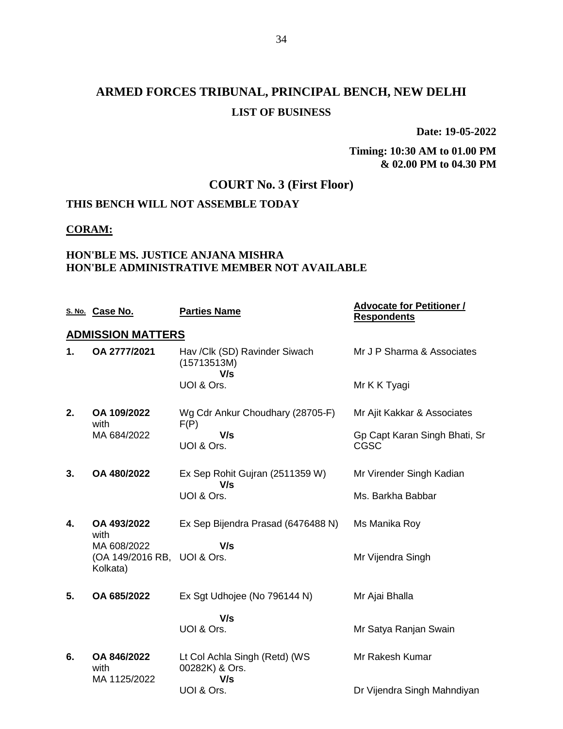**Date: 19-05-2022**

**Timing: 10:30 AM to 01.00 PM & 02.00 PM to 04.30 PM**

## **COURT No. 3 (First Floor)**

## **THIS BENCH WILL NOT ASSEMBLE TODAY**

#### **CORAM:**

### **HON'BLE MS. JUSTICE ANJANA MISHRA HON'BLE ADMINISTRATIVE MEMBER NOT AVAILABLE**

|    | S. No. Case No.                                        | <b>Parties Name</b>                                    | <b>Advocate for Petitioner /</b><br><b>Respondents</b> |
|----|--------------------------------------------------------|--------------------------------------------------------|--------------------------------------------------------|
|    | <b>ADMISSION MATTERS</b>                               |                                                        |                                                        |
| 1. | OA 2777/2021                                           | Hav /Clk (SD) Ravinder Siwach<br>(15713513M)<br>V/s    | Mr J P Sharma & Associates                             |
|    |                                                        | UOI & Ors.                                             | Mr K K Tyagi                                           |
| 2. | OA 109/2022<br>with                                    | Wg Cdr Ankur Choudhary (28705-F)<br>F(P)               | Mr Ajit Kakkar & Associates                            |
|    | MA 684/2022                                            | V/s<br>UOI & Ors.                                      | Gp Capt Karan Singh Bhati, Sr<br><b>CGSC</b>           |
| 3. | OA 480/2022                                            | Ex Sep Rohit Gujran (2511359 W)<br>V/s                 | Mr Virender Singh Kadian                               |
|    |                                                        | UOI & Ors.                                             | Ms. Barkha Babbar                                      |
| 4. | OA 493/2022<br>with                                    | Ex Sep Bijendra Prasad (6476488 N)                     | Ms Manika Roy                                          |
|    | MA 608/2022<br>(OA 149/2016 RB, UOI & Ors.<br>Kolkata) | V/s                                                    | Mr Vijendra Singh                                      |
| 5. | OA 685/2022                                            | Ex Sgt Udhojee (No 796144 N)                           | Mr Ajai Bhalla                                         |
|    |                                                        | V/s<br>UOI & Ors.                                      | Mr Satya Ranjan Swain                                  |
| 6. | OA 846/2022<br>with<br>MA 1125/2022                    | Lt Col Achla Singh (Retd) (WS<br>00282K) & Ors.<br>V/s | Mr Rakesh Kumar                                        |
|    |                                                        | UOI & Ors.                                             | Dr Vijendra Singh Mahndiyan                            |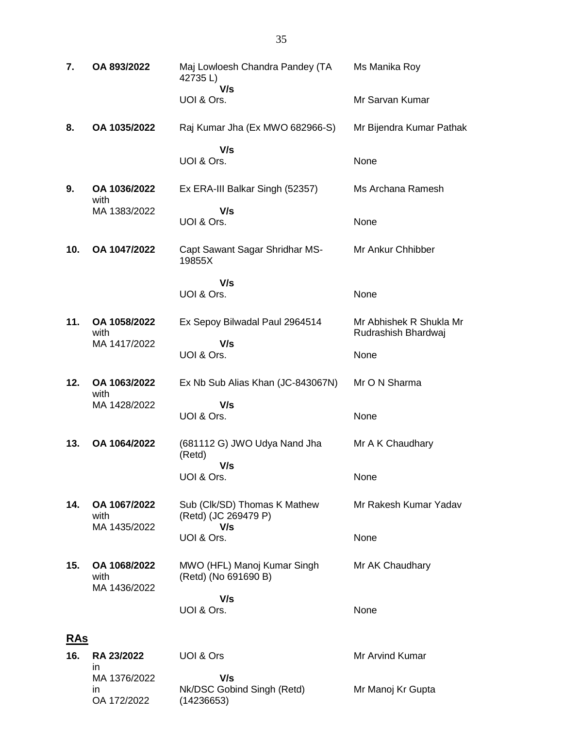| 7.         | OA 893/2022                          | Maj Lowloesh Chandra Pandey (TA<br>42735L)                  | Ms Manika Roy                                  |
|------------|--------------------------------------|-------------------------------------------------------------|------------------------------------------------|
|            |                                      | V/s<br>UOI & Ors.                                           | Mr Sarvan Kumar                                |
| 8.         | OA 1035/2022                         | Raj Kumar Jha (Ex MWO 682966-S)                             | Mr Bijendra Kumar Pathak                       |
|            |                                      | V/s<br>UOI & Ors.                                           | None                                           |
| 9.         | OA 1036/2022<br>with                 | Ex ERA-III Balkar Singh (52357)                             | Ms Archana Ramesh                              |
|            | MA 1383/2022                         | V/s<br>UOI & Ors.                                           | None                                           |
| 10.        | OA 1047/2022                         | Capt Sawant Sagar Shridhar MS-<br>19855X                    | Mr Ankur Chhibber                              |
|            |                                      | V/s<br>UOI & Ors.                                           | None                                           |
| 11.        | OA 1058/2022<br>with                 | Ex Sepoy Bilwadal Paul 2964514                              | Mr Abhishek R Shukla Mr<br>Rudrashish Bhardwaj |
|            | MA 1417/2022                         | V/s<br>UOI & Ors.                                           | None                                           |
| 12.        | OA 1063/2022<br>with                 | Ex Nb Sub Alias Khan (JC-843067N)                           | Mr O N Sharma                                  |
|            | MA 1428/2022                         | V/s<br>UOI & Ors.                                           | None                                           |
| 13.        | OA 1064/2022                         | (681112 G) JWO Udya Nand Jha<br>(Retd)                      | Mr A K Chaudhary                               |
|            |                                      | V/s<br>UOI & Ors.                                           | None                                           |
| 14.        | OA 1067/2022<br>with<br>MA 1435/2022 | Sub (Clk/SD) Thomas K Mathew<br>(Retd) (JC 269479 P)<br>V/s | Mr Rakesh Kumar Yadav                          |
|            |                                      | UOI & Ors.                                                  | None                                           |
| 15.        | OA 1068/2022<br>with<br>MA 1436/2022 | MWO (HFL) Manoj Kumar Singh<br>(Retd) (No 691690 B)         | Mr AK Chaudhary                                |
|            |                                      | V/s<br>UOI & Ors.                                           | None                                           |
| <b>RAS</b> |                                      |                                                             |                                                |
| 16.        | <b>RA 23/2022</b><br>in              | UOI & Ors                                                   | Mr Arvind Kumar                                |
|            | MA 1376/2022<br>in                   | V/s<br>Nk/DSC Gobind Singh (Retd)                           | Mr Manoj Kr Gupta                              |

OA 172/2022

(14236653)